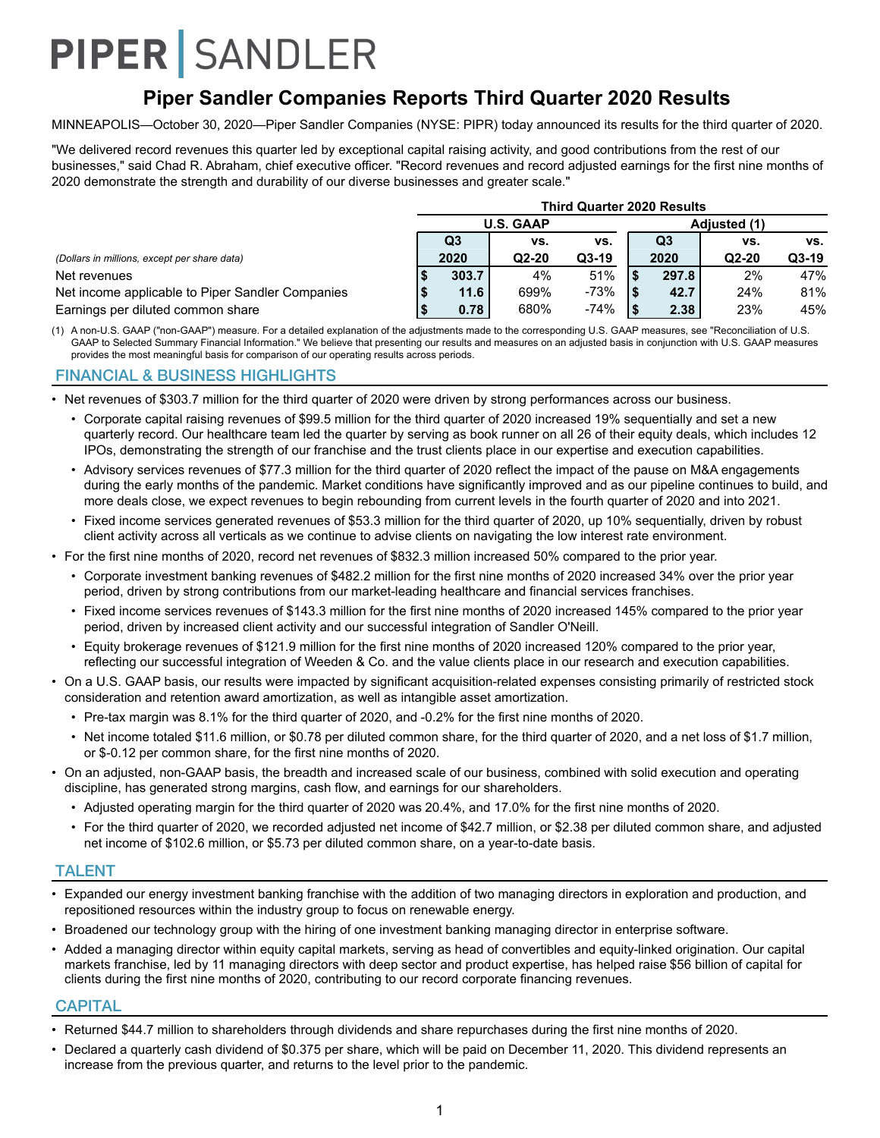## **Piper Sandler Companies Reports Third Quarter 2020 Results**

MINNEAPOLIS—October 30, 2020—Piper Sandler Companies (NYSE: PIPR) today announced its results for the third quarter of 2020.

"We delivered record revenues this quarter led by exceptional capital raising activity, and good contributions from the rest of our businesses," said Chad R. Abraham, chief executive officer. "Record revenues and record adjusted earnings for the first nine months of 2020 demonstrate the strength and durability of our diverse businesses and greater scale."

|                                                  | <b>Third Quarter 2020 Results</b> |                |                  |        |  |                |         |         |  |  |  |
|--------------------------------------------------|-----------------------------------|----------------|------------------|--------|--|----------------|---------|---------|--|--|--|
|                                                  |                                   |                | <b>U.S. GAAP</b> |        |  |                |         |         |  |  |  |
|                                                  |                                   | Q <sub>3</sub> | VS.              | VS.    |  | Q <sub>3</sub> | vs.     | vs.     |  |  |  |
| (Dollars in millions, except per share data)     |                                   | 2020           | $Q2-20$          | Q3-19  |  | 2020           | $Q2-20$ | $Q3-19$ |  |  |  |
| Net revenues                                     |                                   | 303.7          | 4%               | 51%    |  | 297.8          | 2%      | 47%     |  |  |  |
| Net income applicable to Piper Sandler Companies |                                   | 11.6           | 699%             | $-73%$ |  | 42.7           | 24%     | 81%     |  |  |  |
| Earnings per diluted common share                |                                   | 0.78           | 680%             | $-74%$ |  | 2.38           | 23%     | 45%     |  |  |  |

(1) A non-U.S. GAAP ("non-GAAP") measure. For a detailed explanation of the adjustments made to the corresponding U.S. GAAP measures, see "Reconciliation of U.S. GAAP to Selected Summary Financial Information." We believe that presenting our results and measures on an adjusted basis in conjunction with U.S. GAAP measures provides the most meaningful basis for comparison of our operating results across periods.

#### FINANCIAL & BUSINESS HIGHLIGHTS

- Net revenues of \$303.7 million for the third quarter of 2020 were driven by strong performances across our business.
	- Corporate capital raising revenues of \$99.5 million for the third quarter of 2020 increased 19% sequentially and set a new quarterly record. Our healthcare team led the quarter by serving as book runner on all 26 of their equity deals, which includes 12 IPOs, demonstrating the strength of our franchise and the trust clients place in our expertise and execution capabilities.
	- Advisory services revenues of \$77.3 million for the third quarter of 2020 reflect the impact of the pause on M&A engagements during the early months of the pandemic. Market conditions have significantly improved and as our pipeline continues to build, and more deals close, we expect revenues to begin rebounding from current levels in the fourth quarter of 2020 and into 2021.
	- Fixed income services generated revenues of \$53.3 million for the third quarter of 2020, up 10% sequentially, driven by robust client activity across all verticals as we continue to advise clients on navigating the low interest rate environment.
- For the first nine months of 2020, record net revenues of \$832.3 million increased 50% compared to the prior year.
	- Corporate investment banking revenues of \$482.2 million for the first nine months of 2020 increased 34% over the prior year period, driven by strong contributions from our market-leading healthcare and financial services franchises.
	- Fixed income services revenues of \$143.3 million for the first nine months of 2020 increased 145% compared to the prior year period, driven by increased client activity and our successful integration of Sandler O'Neill.
	- Equity brokerage revenues of \$121.9 million for the first nine months of 2020 increased 120% compared to the prior year, reflecting our successful integration of Weeden & Co. and the value clients place in our research and execution capabilities.
- On a U.S. GAAP basis, our results were impacted by significant acquisition-related expenses consisting primarily of restricted stock consideration and retention award amortization, as well as intangible asset amortization.
	- Pre-tax margin was 8.1% for the third quarter of 2020, and -0.2% for the first nine months of 2020.
	- Net income totaled \$11.6 million, or \$0.78 per diluted common share, for the third quarter of 2020, and a net loss of \$1.7 million, or \$-0.12 per common share, for the first nine months of 2020.
- On an adjusted, non-GAAP basis, the breadth and increased scale of our business, combined with solid execution and operating discipline, has generated strong margins, cash flow, and earnings for our shareholders.
	- Adjusted operating margin for the third quarter of 2020 was 20.4%, and 17.0% for the first nine months of 2020.
	- For the third quarter of 2020, we recorded adjusted net income of \$42.7 million, or \$2.38 per diluted common share, and adjusted net income of \$102.6 million, or \$5.73 per diluted common share, on a year-to-date basis.

#### TALENT

- Expanded our energy investment banking franchise with the addition of two managing directors in exploration and production, and repositioned resources within the industry group to focus on renewable energy.
- Broadened our technology group with the hiring of one investment banking managing director in enterprise software.
- Added a managing director within equity capital markets, serving as head of convertibles and equity-linked origination. Our capital markets franchise, led by 11 managing directors with deep sector and product expertise, has helped raise \$56 billion of capital for clients during the first nine months of 2020, contributing to our record corporate financing revenues.

#### **CAPITAL**

- Returned \$44.7 million to shareholders through dividends and share repurchases during the first nine months of 2020.
- Declared a quarterly cash dividend of \$0.375 per share, which will be paid on December 11, 2020. This dividend represents an increase from the previous quarter, and returns to the level prior to the pandemic.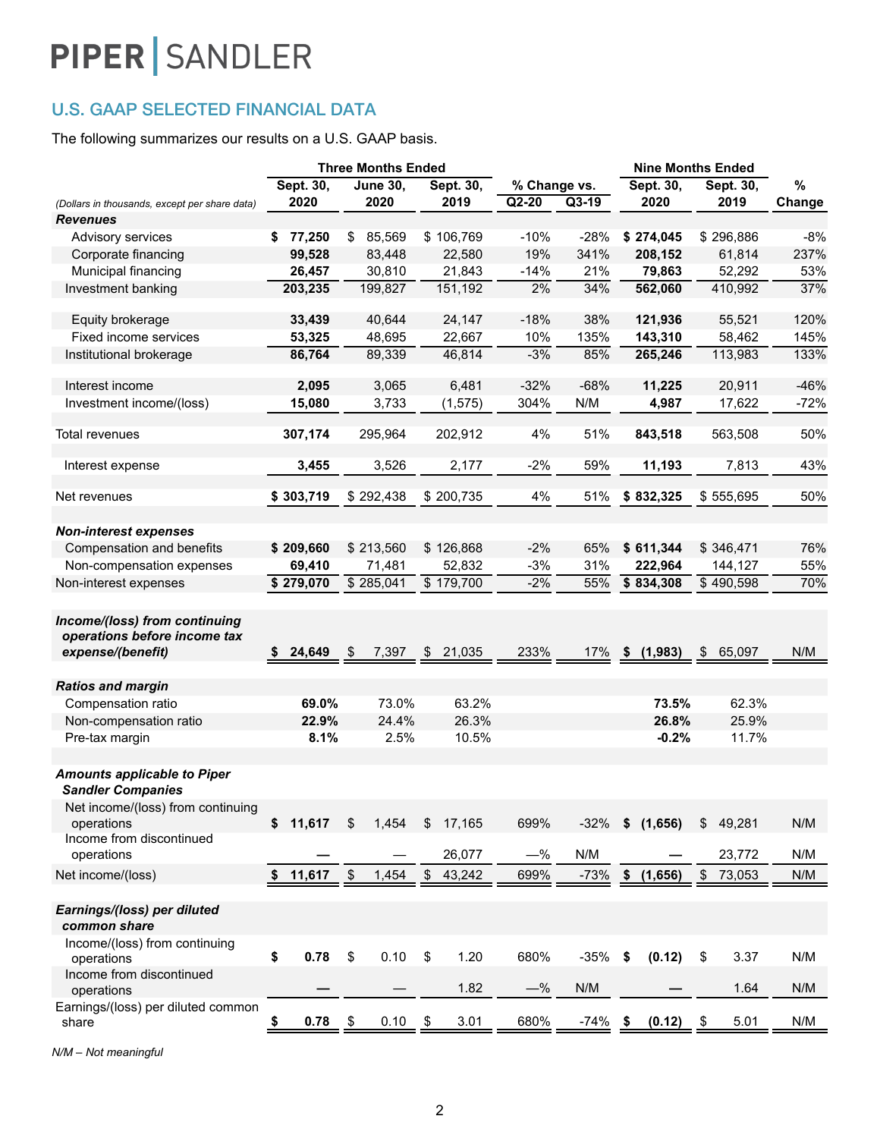## U.S. GAAP SELECTED FINANCIAL DATA

The following summarizes our results on a U.S. GAAP basis.

|                                                                                    | <b>Three Months Ended</b> |                 |                    | <b>Nine Months Ended</b> |         |                 |              |        |
|------------------------------------------------------------------------------------|---------------------------|-----------------|--------------------|--------------------------|---------|-----------------|--------------|--------|
|                                                                                    | Sept. 30,                 | <b>June 30,</b> | Sept. 30,          | % Change vs.             |         | Sept. 30,       | Sept. 30,    | %      |
| (Dollars in thousands, except per share data)                                      | 2020                      | 2020            | 2019               | $Q2-20$                  | $Q3-19$ | 2020            | 2019         | Change |
| <b>Revenues</b>                                                                    |                           |                 |                    |                          |         |                 |              |        |
| Advisory services                                                                  | \$77,250                  | \$<br>85,569    | \$106,769          | $-10%$                   | $-28%$  | \$274,045       | \$296,886    | $-8%$  |
| Corporate financing                                                                | 99,528                    | 83,448          | 22,580             | 19%                      | 341%    | 208,152         | 61,814       | 237%   |
| Municipal financing                                                                | 26,457                    | 30,810          | 21,843             | $-14%$                   | 21%     | 79,863          | 52,292       | 53%    |
| Investment banking                                                                 | 203,235                   | 199,827         | 151,192            | 2%                       | 34%     | 562,060         | 410,992      | 37%    |
| Equity brokerage                                                                   | 33,439                    | 40,644          | 24,147             | $-18%$                   | 38%     | 121,936         | 55,521       | 120%   |
| Fixed income services                                                              | 53,325                    | 48,695          | 22,667             | 10%                      | 135%    | 143,310         | 58,462       | 145%   |
| Institutional brokerage                                                            | 86,764                    | 89,339          | 46,814             | $-3%$                    | 85%     | 265,246         | 113,983      | 133%   |
|                                                                                    |                           |                 |                    |                          |         |                 |              |        |
| Interest income                                                                    | 2,095                     | 3,065           | 6,481              | $-32%$                   | $-68%$  | 11,225          | 20,911       | $-46%$ |
| Investment income/(loss)                                                           | 15,080                    | 3,733           | (1, 575)           | 304%                     | N/M     | 4,987           | 17,622       | $-72%$ |
| Total revenues                                                                     | 307,174                   | 295,964         | 202,912            | 4%                       | 51%     | 843,518         | 563,508      | 50%    |
|                                                                                    |                           |                 |                    |                          |         |                 |              |        |
| Interest expense                                                                   | 3,455                     | 3,526           | 2,177              | $-2%$                    | 59%     | 11,193          | 7,813        | 43%    |
| Net revenues                                                                       | \$303,719                 | \$292,438       | \$200,735          | 4%                       | 51%     | \$832,325       | \$555,695    | 50%    |
|                                                                                    |                           |                 |                    |                          |         |                 |              |        |
| <b>Non-interest expenses</b>                                                       |                           |                 |                    |                          |         |                 |              |        |
| Compensation and benefits                                                          | \$209,660                 | \$213,560       | \$126,868          | $-2%$                    | 65%     | \$611,344       | \$346,471    | 76%    |
| Non-compensation expenses                                                          | 69,410                    | 71,481          | 52,832             | $-3%$                    | 31%     | 222,964         | 144,127      | 55%    |
| Non-interest expenses                                                              | \$279,070                 | \$285,041       | \$179,700          | $-2%$                    | 55%     | \$834,308       | \$490,598    | 70%    |
| Income/(loss) from continuing<br>operations before income tax<br>expense/(benefit) | 24,649<br>SS.             | 7,397<br>\$     | \$21,035           | 233%                     | 17%     | (1,983)<br>- \$ | 65,097<br>\$ | N/M    |
| <b>Ratios and margin</b>                                                           |                           |                 |                    |                          |         |                 |              |        |
| Compensation ratio                                                                 | 69.0%                     | 73.0%           | 63.2%              |                          |         | 73.5%           | 62.3%        |        |
| Non-compensation ratio                                                             | 22.9%                     | 24.4%           | 26.3%              |                          |         | 26.8%           | 25.9%        |        |
| Pre-tax margin                                                                     | 8.1%                      | 2.5%            | 10.5%              |                          |         | $-0.2%$         | 11.7%        |        |
|                                                                                    |                           |                 |                    |                          |         |                 |              |        |
| <b>Amounts applicable to Piper</b><br><b>Sandler Companies</b>                     |                           |                 |                    |                          |         |                 |              |        |
| Net income/(loss) from continuing<br>operations                                    | \$11,617                  | 1,454<br>\$     | 17,165<br>\$       | 699%                     | $-32%$  | \$<br>(1,656)   | \$<br>49,281 | N/M    |
| Income from discontinued                                                           |                           |                 |                    |                          |         |                 |              |        |
| operations                                                                         |                           |                 | 26,077             | $-\%$                    | N/M     |                 | 23,772       | N/M    |
| Net income/(loss)                                                                  | 11,617<br>\$              | \$<br>1,454     | \$<br>43,242       | 699%                     | $-73%$  | (1,656)<br>\$   | \$<br>73,053 | N/M    |
| Earnings/(loss) per diluted<br>common share                                        |                           |                 |                    |                          |         |                 |              |        |
| Income/(loss) from continuing<br>operations                                        | \$<br>0.78                | \$<br>0.10      | \$<br>1.20         | 680%                     | $-35%$  | (0.12)<br>\$    | 3.37<br>\$   | N/M    |
| Income from discontinued<br>operations                                             |                           |                 | 1.82               | $-\%$                    | N/M     |                 | 1.64         | N/M    |
| Earnings/(loss) per diluted common<br>share                                        | 0.78<br>\$                | 0.10<br>\$      | 3.01<br><u>_\$</u> | 680%                     | -74%    | (0.12)<br>- \$  | 5.01<br>\$   | N/M    |
|                                                                                    |                           |                 |                    |                          |         |                 |              |        |

*N/M – Not meaningful*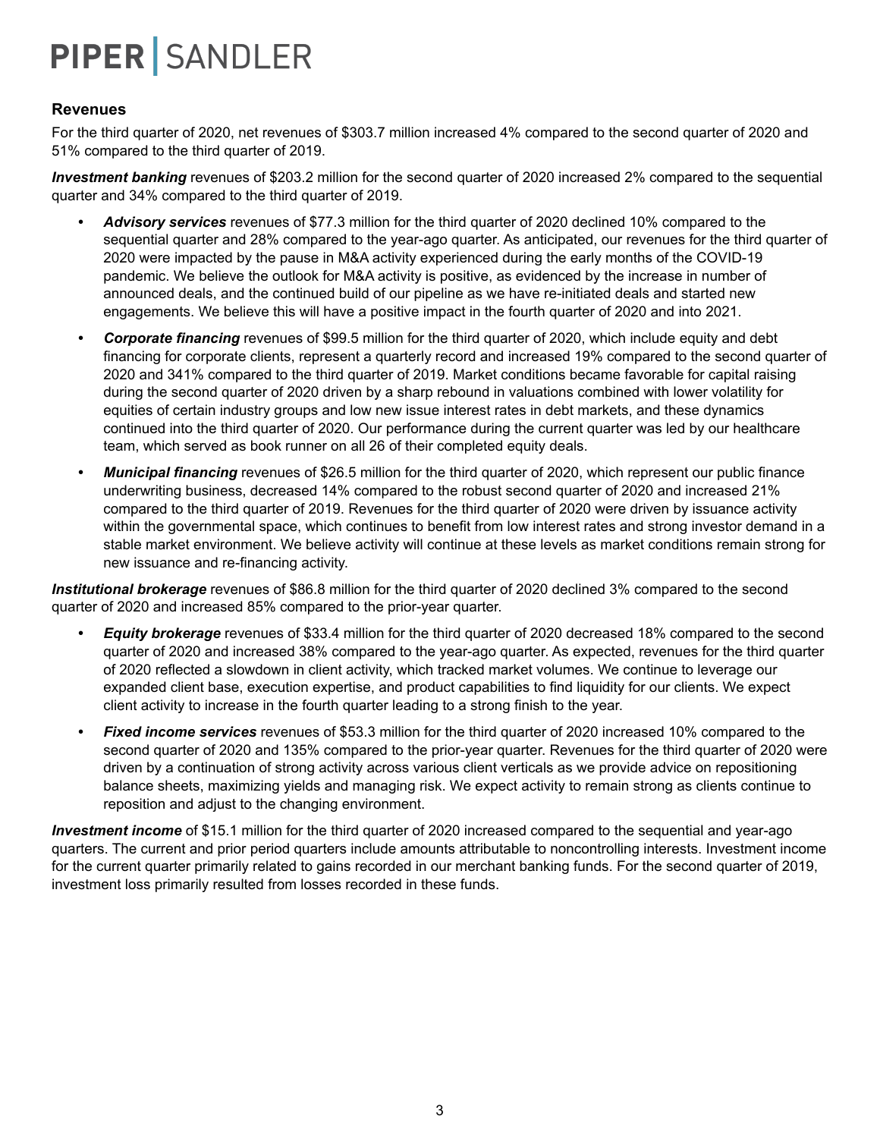### **Revenues**

For the third quarter of 2020, net revenues of \$303.7 million increased 4% compared to the second quarter of 2020 and 51% compared to the third quarter of 2019.

*Investment banking* revenues of \$203.2 million for the second quarter of 2020 increased 2% compared to the sequential quarter and 34% compared to the third quarter of 2019.

- *• Advisory services* revenues of \$77.3 million for the third quarter of 2020 declined 10% compared to the sequential quarter and 28% compared to the year-ago quarter. As anticipated, our revenues for the third quarter of 2020 were impacted by the pause in M&A activity experienced during the early months of the COVID-19 pandemic. We believe the outlook for M&A activity is positive, as evidenced by the increase in number of announced deals, and the continued build of our pipeline as we have re-initiated deals and started new engagements. We believe this will have a positive impact in the fourth quarter of 2020 and into 2021.
- *• Corporate financing* revenues of \$99.5 million for the third quarter of 2020, which include equity and debt financing for corporate clients, represent a quarterly record and increased 19% compared to the second quarter of 2020 and 341% compared to the third quarter of 2019. Market conditions became favorable for capital raising during the second quarter of 2020 driven by a sharp rebound in valuations combined with lower volatility for equities of certain industry groups and low new issue interest rates in debt markets, and these dynamics continued into the third quarter of 2020. Our performance during the current quarter was led by our healthcare team, which served as book runner on all 26 of their completed equity deals.
- *• Municipal financing* revenues of \$26.5 million for the third quarter of 2020, which represent our public finance underwriting business, decreased 14% compared to the robust second quarter of 2020 and increased 21% compared to the third quarter of 2019. Revenues for the third quarter of 2020 were driven by issuance activity within the governmental space, which continues to benefit from low interest rates and strong investor demand in a stable market environment. We believe activity will continue at these levels as market conditions remain strong for new issuance and re-financing activity.

*Institutional brokerage* revenues of \$86.8 million for the third quarter of 2020 declined 3% compared to the second quarter of 2020 and increased 85% compared to the prior-year quarter.

- *• Equity brokerage* revenues of \$33.4 million for the third quarter of 2020 decreased 18% compared to the second quarter of 2020 and increased 38% compared to the year-ago quarter. As expected, revenues for the third quarter of 2020 reflected a slowdown in client activity, which tracked market volumes. We continue to leverage our expanded client base, execution expertise, and product capabilities to find liquidity for our clients. We expect client activity to increase in the fourth quarter leading to a strong finish to the year.
- *• Fixed income services* revenues of \$53.3 million for the third quarter of 2020 increased 10% compared to the second quarter of 2020 and 135% compared to the prior-year quarter. Revenues for the third quarter of 2020 were driven by a continuation of strong activity across various client verticals as we provide advice on repositioning balance sheets, maximizing yields and managing risk. We expect activity to remain strong as clients continue to reposition and adjust to the changing environment.

*Investment income* of \$15.1 million for the third quarter of 2020 increased compared to the sequential and year-ago quarters. The current and prior period quarters include amounts attributable to noncontrolling interests. Investment income for the current quarter primarily related to gains recorded in our merchant banking funds. For the second quarter of 2019, investment loss primarily resulted from losses recorded in these funds.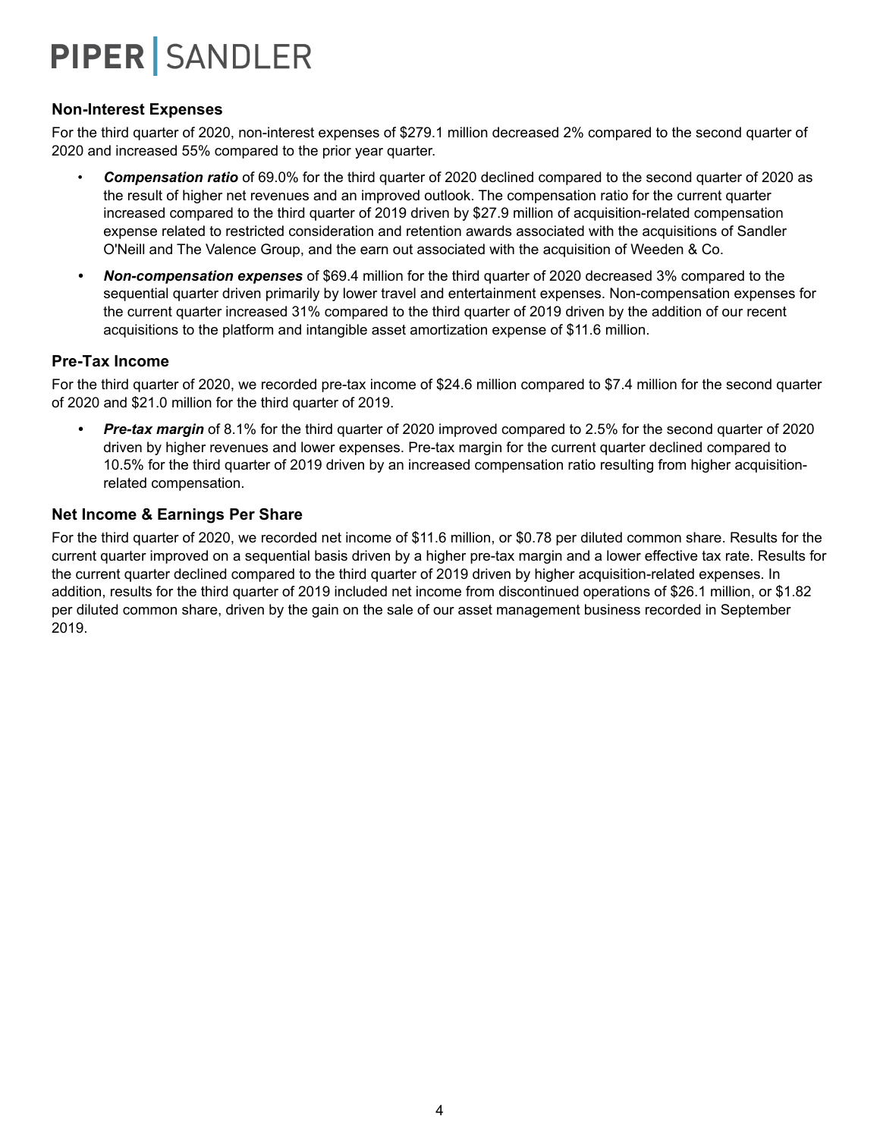### **Non-Interest Expenses**

For the third quarter of 2020, non-interest expenses of \$279.1 million decreased 2% compared to the second quarter of 2020 and increased 55% compared to the prior year quarter.

- *Compensation ratio* of 69.0% for the third quarter of 2020 declined compared to the second quarter of 2020 as the result of higher net revenues and an improved outlook. The compensation ratio for the current quarter increased compared to the third quarter of 2019 driven by \$27.9 million of acquisition-related compensation expense related to restricted consideration and retention awards associated with the acquisitions of Sandler O'Neill and The Valence Group, and the earn out associated with the acquisition of Weeden & Co.
- *• Non-compensation expenses* of \$69.4 million for the third quarter of 2020 decreased 3% compared to the sequential quarter driven primarily by lower travel and entertainment expenses. Non-compensation expenses for the current quarter increased 31% compared to the third quarter of 2019 driven by the addition of our recent acquisitions to the platform and intangible asset amortization expense of \$11.6 million.

### **Pre-Tax Income**

For the third quarter of 2020, we recorded pre-tax income of \$24.6 million compared to \$7.4 million for the second quarter of 2020 and \$21.0 million for the third quarter of 2019.

*• Pre-tax margin* of 8.1% for the third quarter of 2020 improved compared to 2.5% for the second quarter of 2020 driven by higher revenues and lower expenses. Pre-tax margin for the current quarter declined compared to 10.5% for the third quarter of 2019 driven by an increased compensation ratio resulting from higher acquisitionrelated compensation.

### **Net Income & Earnings Per Share**

For the third quarter of 2020, we recorded net income of \$11.6 million, or \$0.78 per diluted common share. Results for the current quarter improved on a sequential basis driven by a higher pre-tax margin and a lower effective tax rate. Results for the current quarter declined compared to the third quarter of 2019 driven by higher acquisition-related expenses. In addition, results for the third quarter of 2019 included net income from discontinued operations of \$26.1 million, or \$1.82 per diluted common share, driven by the gain on the sale of our asset management business recorded in September 2019.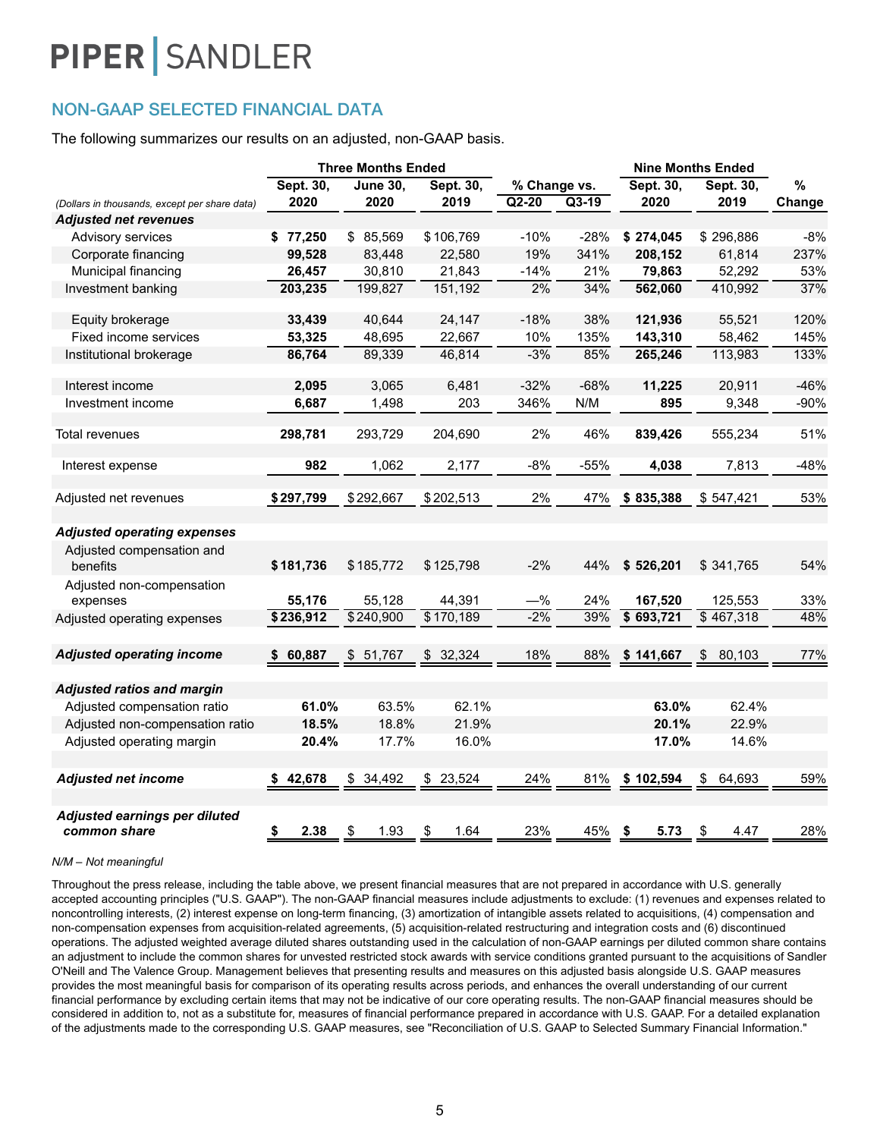### NON-GAAP SELECTED FINANCIAL DATA

The following summarizes our results on an adjusted, non-GAAP basis.

|                                                                             |              | <b>Three Months Ended</b><br><b>Nine Months Ended</b> |            |              |         |              |              |        |
|-----------------------------------------------------------------------------|--------------|-------------------------------------------------------|------------|--------------|---------|--------------|--------------|--------|
|                                                                             | Sept. 30,    | <b>June 30,</b>                                       | Sept. 30,  | % Change vs. |         | Sept. 30,    | Sept. 30,    | $\%$   |
| (Dollars in thousands, except per share data)                               | 2020         | 2020                                                  | 2019       | $Q2-20$      | $Q3-19$ | 2020         | 2019         | Change |
| <b>Adjusted net revenues</b>                                                |              |                                                       |            |              |         |              |              |        |
| Advisory services                                                           | \$77,250     | \$ 85,569                                             | \$106,769  | $-10%$       | $-28%$  | \$274,045    | \$296,886    | $-8%$  |
| Corporate financing                                                         | 99,528       | 83,448                                                | 22,580     | 19%          | 341%    | 208,152      | 61,814       | 237%   |
| Municipal financing                                                         | 26,457       | 30,810                                                | 21,843     | $-14%$       | 21%     | 79,863       | 52,292       | 53%    |
| Investment banking                                                          | 203,235      | 199,827                                               | 151,192    | 2%           | 34%     | 562,060      | 410,992      | 37%    |
| Equity brokerage                                                            | 33,439       | 40,644                                                | 24,147     | $-18%$       | 38%     | 121,936      | 55,521       | 120%   |
| Fixed income services                                                       | 53,325       | 48,695                                                | 22,667     | 10%          | 135%    | 143,310      | 58,462       | 145%   |
| Institutional brokerage                                                     | 86,764       | 89,339                                                | 46,814     | $-3%$        | 85%     | 265,246      | 113,983      | 133%   |
| Interest income                                                             | 2,095        | 3,065                                                 | 6,481      | $-32%$       | $-68%$  | 11,225       | 20,911       | $-46%$ |
| Investment income                                                           | 6,687        | 1,498                                                 | 203        | 346%         | N/M     | 895          | 9,348        | $-90%$ |
| Total revenues                                                              | 298,781      | 293,729                                               | 204,690    | 2%           | 46%     | 839,426      | 555,234      | 51%    |
| Interest expense                                                            | 982          | 1,062                                                 | 2,177      | $-8%$        | $-55%$  | 4,038        | 7,813        | $-48%$ |
| Adjusted net revenues                                                       | \$297,799    | \$292,667                                             | \$202,513  | 2%           | 47%     | \$835,388    | \$547,421    | 53%    |
| <b>Adjusted operating expenses</b><br>Adjusted compensation and<br>benefits | \$181,736    | \$185,772                                             | \$125,798  | $-2%$        | 44%     | \$526,201    | \$341,765    | 54%    |
| Adjusted non-compensation<br>expenses                                       | 55,176       | 55,128                                                | 44,391     | $-\%$        | 24%     | 167,520      | 125,553      | 33%    |
| Adjusted operating expenses                                                 | \$236,912    | \$240,900                                             | \$170,189  | $-2%$        | 39%     | \$693,721    | \$467,318    | 48%    |
| <b>Adjusted operating income</b>                                            | 60,887<br>S. | \$51,767                                              | \$32,324   | 18%          | 88%     | \$141,667    | \$<br>80,103 | 77%    |
| <b>Adjusted ratios and margin</b>                                           |              |                                                       |            |              |         |              |              |        |
| Adjusted compensation ratio                                                 | 61.0%        | 63.5%                                                 | 62.1%      |              |         | 63.0%        | 62.4%        |        |
| Adjusted non-compensation ratio                                             | 18.5%        | 18.8%                                                 | 21.9%      |              |         | 20.1%        | 22.9%        |        |
| Adjusted operating margin                                                   | 20.4%        | 17.7%                                                 | 16.0%      |              |         | 17.0%        | 14.6%        |        |
| <b>Adjusted net income</b>                                                  | \$42,678     | \$34,492                                              | \$23,524   | 24%          | 81%     | \$102,594    | \$<br>64,693 | 59%    |
| Adjusted earnings per diluted<br>common share                               | \$<br>2.38   | \$<br>1.93                                            | \$<br>1.64 | 23%          | 45%     | 5.73<br>- \$ | \$<br>4.47   | 28%    |

#### *N/M – Not meaningful*

Throughout the press release, including the table above, we present financial measures that are not prepared in accordance with U.S. generally accepted accounting principles ("U.S. GAAP"). The non-GAAP financial measures include adjustments to exclude: (1) revenues and expenses related to noncontrolling interests, (2) interest expense on long-term financing, (3) amortization of intangible assets related to acquisitions, (4) compensation and non-compensation expenses from acquisition-related agreements, (5) acquisition-related restructuring and integration costs and (6) discontinued operations. The adjusted weighted average diluted shares outstanding used in the calculation of non-GAAP earnings per diluted common share contains an adjustment to include the common shares for unvested restricted stock awards with service conditions granted pursuant to the acquisitions of Sandler O'Neill and The Valence Group. Management believes that presenting results and measures on this adjusted basis alongside U.S. GAAP measures provides the most meaningful basis for comparison of its operating results across periods, and enhances the overall understanding of our current financial performance by excluding certain items that may not be indicative of our core operating results. The non-GAAP financial measures should be considered in addition to, not as a substitute for, measures of financial performance prepared in accordance with U.S. GAAP. For a detailed explanation of the adjustments made to the corresponding U.S. GAAP measures, see "Reconciliation of U.S. GAAP to Selected Summary Financial Information."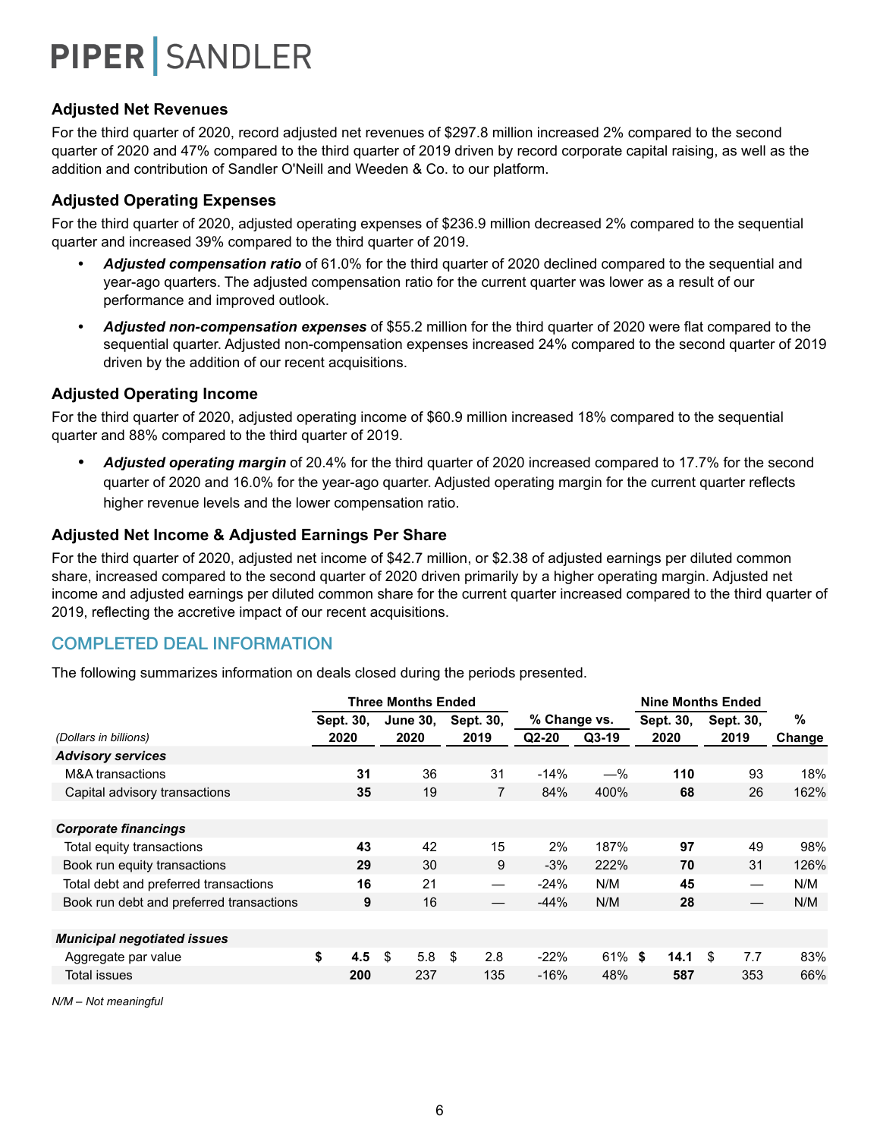### **Adjusted Net Revenues**

For the third quarter of 2020, record adjusted net revenues of \$297.8 million increased 2% compared to the second quarter of 2020 and 47% compared to the third quarter of 2019 driven by record corporate capital raising, as well as the addition and contribution of Sandler O'Neill and Weeden & Co. to our platform.

### **Adjusted Operating Expenses**

For the third quarter of 2020, adjusted operating expenses of \$236.9 million decreased 2% compared to the sequential quarter and increased 39% compared to the third quarter of 2019.

- *• Adjusted compensation ratio* of 61.0% for the third quarter of 2020 declined compared to the sequential and year-ago quarters. The adjusted compensation ratio for the current quarter was lower as a result of our performance and improved outlook.
- *• Adjusted non-compensation expenses* of \$55.2 million for the third quarter of 2020 were flat compared to the sequential quarter. Adjusted non-compensation expenses increased 24% compared to the second quarter of 2019 driven by the addition of our recent acquisitions.

### **Adjusted Operating Income**

For the third quarter of 2020, adjusted operating income of \$60.9 million increased 18% compared to the sequential quarter and 88% compared to the third quarter of 2019.

*• Adjusted operating margin* of 20.4% for the third quarter of 2020 increased compared to 17.7% for the second quarter of 2020 and 16.0% for the year-ago quarter. Adjusted operating margin for the current quarter reflects higher revenue levels and the lower compensation ratio.

### **Adjusted Net Income & Adjusted Earnings Per Share**

For the third quarter of 2020, adjusted net income of \$42.7 million, or \$2.38 of adjusted earnings per diluted common share, increased compared to the second quarter of 2020 driven primarily by a higher operating margin. Adjusted net income and adjusted earnings per diluted common share for the current quarter increased compared to the third quarter of 2019, reflecting the accretive impact of our recent acquisitions.

### COMPLETED DEAL INFORMATION

The following summarizes information on deals closed during the periods presented.

|                                          |           | <b>Three Months Ended</b> |           | <b>Nine Months Ended</b> |           |           |           |        |
|------------------------------------------|-----------|---------------------------|-----------|--------------------------|-----------|-----------|-----------|--------|
|                                          | Sept. 30. | <b>June 30.</b>           | Sept. 30, | % Change vs.             |           | Sept. 30, | Sept. 30, | %      |
| (Dollars in billions)                    | 2020      | 2020                      | 2019      | $Q2-20$                  | $Q3-19$   | 2020      | 2019      | Change |
| <b>Advisory services</b>                 |           |                           |           |                          |           |           |           |        |
| <b>M&amp;A</b> transactions              | 31        | 36                        | 31        | $-14%$                   | $-\%$     | 110       | 93        | 18%    |
| Capital advisory transactions            | 35        | 19                        | 7         | 84%                      | 400%      | 68        | 26        | 162%   |
|                                          |           |                           |           |                          |           |           |           |        |
| <b>Corporate financings</b>              |           |                           |           |                          |           |           |           |        |
| Total equity transactions                | 43        | 42                        | 15        | 2%                       | 187%      | 97        | 49        | 98%    |
| Book run equity transactions             | 29        | 30                        | 9         | $-3%$                    | 222%      | 70        | 31        | 126%   |
| Total debt and preferred transactions    | 16        | 21                        |           | $-24%$                   | N/M       | 45        |           | N/M    |
| Book run debt and preferred transactions | 9         | 16                        |           | $-44%$                   | N/M       | 28        |           | N/M    |
|                                          |           |                           |           |                          |           |           |           |        |
| <b>Municipal negotiated issues</b>       |           |                           |           |                          |           |           |           |        |
| Aggregate par value                      | \$<br>4.5 | -\$<br>5.8                | \$<br>2.8 | $-22%$                   | $61\%$ \$ | 14.1      | \$<br>7.7 | 83%    |
| Total issues                             | 200       | 237                       | 135       | $-16%$                   | 48%       | 587       | 353       | 66%    |
|                                          |           |                           |           |                          |           |           |           |        |

*N/M – Not meaningful*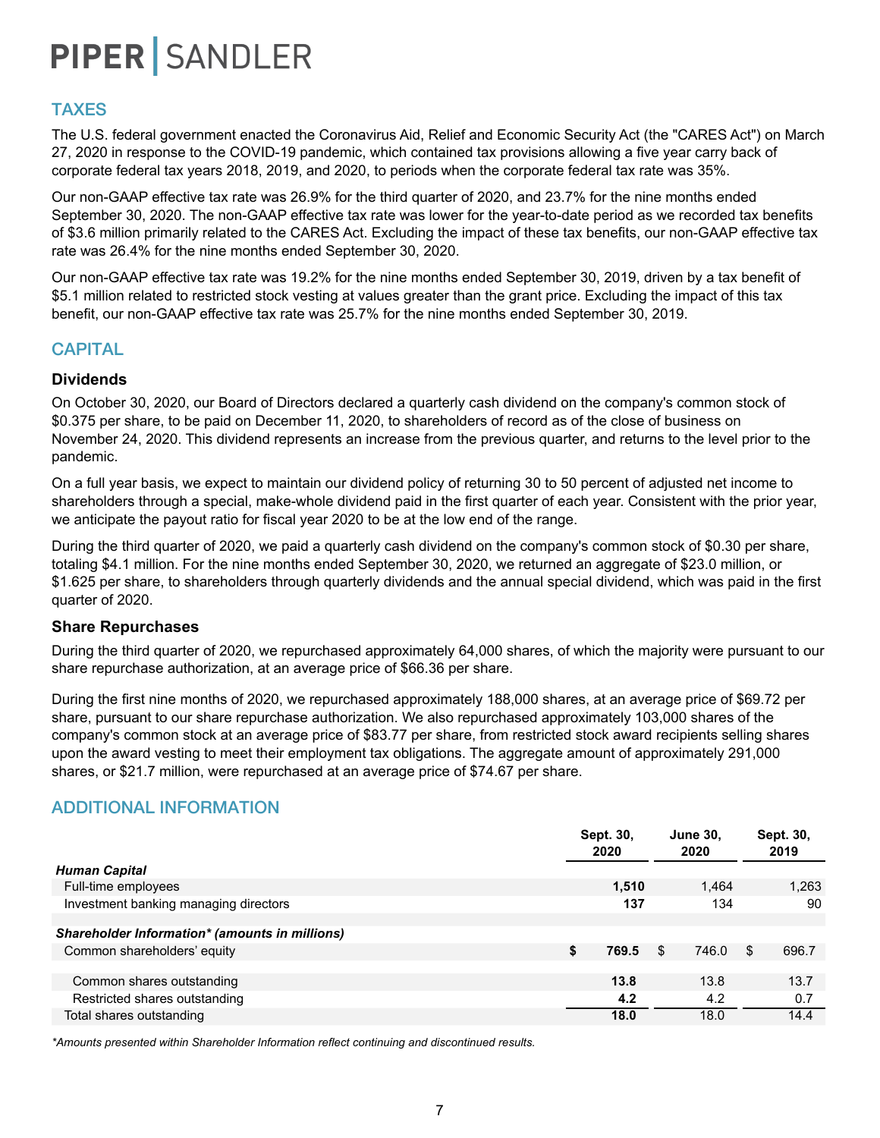### TAXES

The U.S. federal government enacted the Coronavirus Aid, Relief and Economic Security Act (the "CARES Act") on March 27, 2020 in response to the COVID-19 pandemic, which contained tax provisions allowing a five year carry back of corporate federal tax years 2018, 2019, and 2020, to periods when the corporate federal tax rate was 35%.

Our non-GAAP effective tax rate was 26.9% for the third quarter of 2020, and 23.7% for the nine months ended September 30, 2020. The non-GAAP effective tax rate was lower for the year-to-date period as we recorded tax benefits of \$3.6 million primarily related to the CARES Act. Excluding the impact of these tax benefits, our non-GAAP effective tax rate was 26.4% for the nine months ended September 30, 2020.

Our non-GAAP effective tax rate was 19.2% for the nine months ended September 30, 2019, driven by a tax benefit of \$5.1 million related to restricted stock vesting at values greater than the grant price. Excluding the impact of this tax benefit, our non-GAAP effective tax rate was 25.7% for the nine months ended September 30, 2019.

### **CAPITAL**

### **Dividends**

On October 30, 2020, our Board of Directors declared a quarterly cash dividend on the company's common stock of \$0.375 per share, to be paid on December 11, 2020, to shareholders of record as of the close of business on November 24, 2020. This dividend represents an increase from the previous quarter, and returns to the level prior to the pandemic.

On a full year basis, we expect to maintain our dividend policy of returning 30 to 50 percent of adjusted net income to shareholders through a special, make-whole dividend paid in the first quarter of each year. Consistent with the prior year, we anticipate the payout ratio for fiscal year 2020 to be at the low end of the range.

During the third quarter of 2020, we paid a quarterly cash dividend on the company's common stock of \$0.30 per share, totaling \$4.1 million. For the nine months ended September 30, 2020, we returned an aggregate of \$23.0 million, or \$1.625 per share, to shareholders through quarterly dividends and the annual special dividend, which was paid in the first quarter of 2020.

#### **Share Repurchases**

During the third quarter of 2020, we repurchased approximately 64,000 shares, of which the majority were pursuant to our share repurchase authorization, at an average price of \$66.36 per share.

During the first nine months of 2020, we repurchased approximately 188,000 shares, at an average price of \$69.72 per share, pursuant to our share repurchase authorization. We also repurchased approximately 103,000 shares of the company's common stock at an average price of \$83.77 per share, from restricted stock award recipients selling shares upon the award vesting to meet their employment tax obligations. The aggregate amount of approximately 291,000 shares, or \$21.7 million, were repurchased at an average price of \$74.67 per share.

### ADDITIONAL INFORMATION

|                                                | Sept. 30,<br>2020 |     | <b>June 30,</b><br>2020 |     | Sept. 30,<br>2019 |
|------------------------------------------------|-------------------|-----|-------------------------|-----|-------------------|
| <b>Human Capital</b>                           |                   |     |                         |     |                   |
| Full-time employees                            | 1,510             |     | 1,464                   |     | 1,263             |
| Investment banking managing directors          | 137               |     | 134                     |     | 90                |
|                                                |                   |     |                         |     |                   |
| Shareholder Information* (amounts in millions) |                   |     |                         |     |                   |
| Common shareholders' equity                    | \$<br>769.5       | \$. | 746.0                   | \$. | 696.7             |
|                                                |                   |     |                         |     |                   |
| Common shares outstanding                      | 13.8              |     | 13.8                    |     | 13.7              |
| Restricted shares outstanding                  | 4.2               |     | 4.2                     |     | 0.7               |
| Total shares outstanding                       | 18.0              |     | 18.0                    |     | 14.4              |

*\*Amounts presented within Shareholder Information reflect continuing and discontinued results.*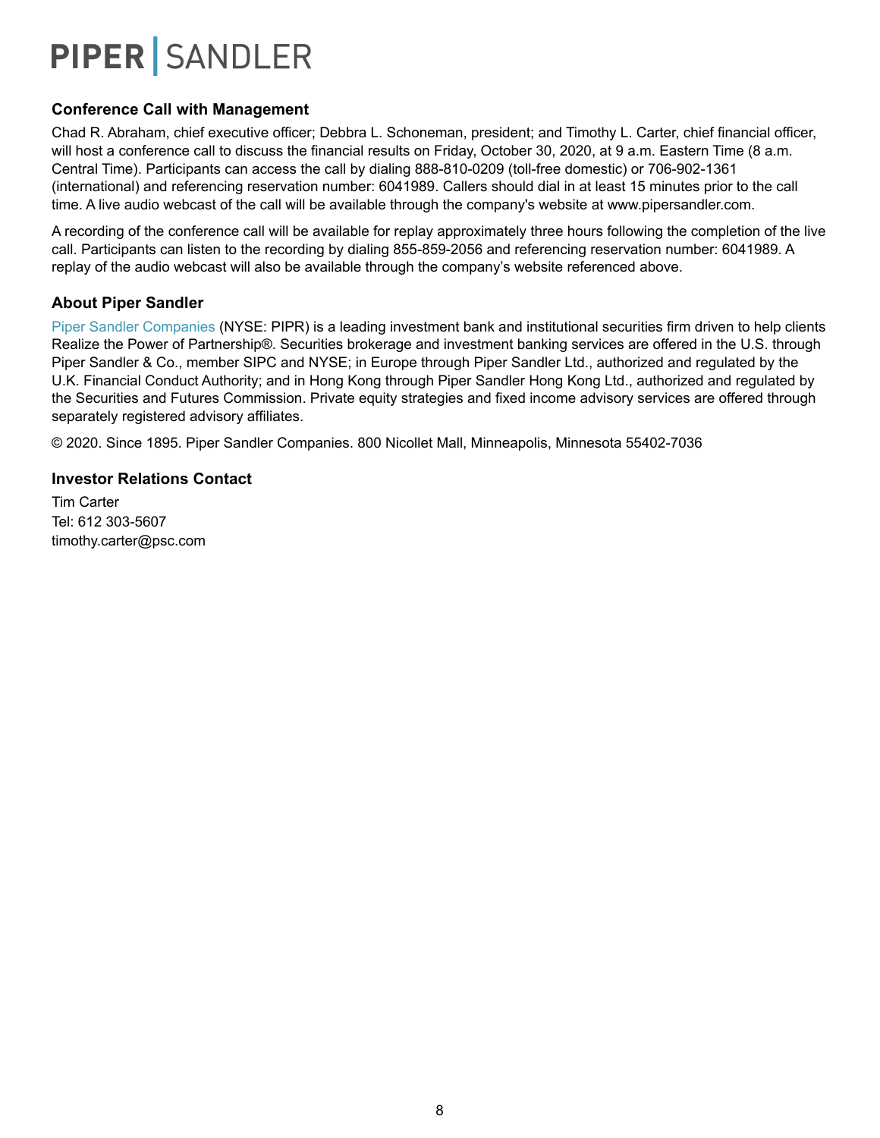### **Conference Call with Management**

Chad R. Abraham, chief executive officer; Debbra L. Schoneman, president; and Timothy L. Carter, chief financial officer, will host a conference call to discuss the financial results on Friday, October 30, 2020, at 9 a.m. Eastern Time (8 a.m. Central Time). Participants can access the call by dialing 888-810-0209 (toll-free domestic) or 706-902-1361 (international) and referencing reservation number: 6041989. Callers should dial in at least 15 minutes prior to the call time. A live audio webcast of the call will be available through the company's website at www.pipersandler.com.

A recording of the conference call will be available for replay approximately three hours following the completion of the live call. Participants can listen to the recording by dialing 855-859-2056 and referencing reservation number: 6041989. A replay of the audio webcast will also be available through the company's website referenced above.

### **About Piper Sandler**

Piper Sandler Companies (NYSE: PIPR) is a leading investment bank and institutional securities firm driven to help clients Realize the Power of Partnership®. Securities brokerage and investment banking services are offered in the U.S. through Piper Sandler & Co., member SIPC and NYSE; in Europe through Piper Sandler Ltd., authorized and regulated by the U.K. Financial Conduct Authority; and in Hong Kong through Piper Sandler Hong Kong Ltd., authorized and regulated by the Securities and Futures Commission. Private equity strategies and fixed income advisory services are offered through separately registered advisory affiliates.

© 2020. Since 1895. Piper Sandler Companies. 800 Nicollet Mall, Minneapolis, Minnesota 55402-7036

### **Investor Relations Contact**

Tim Carter Tel: 612 303-5607 timothy.carter@psc.com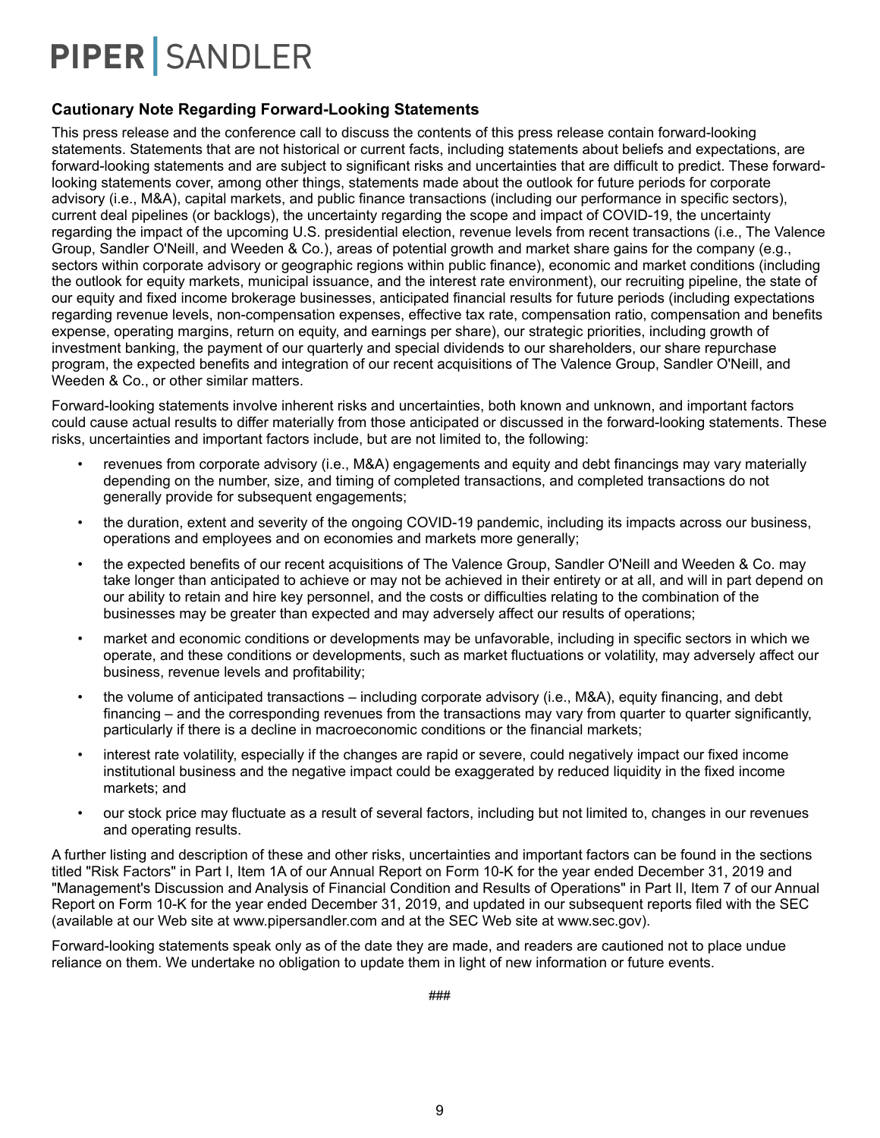### **Cautionary Note Regarding Forward-Looking Statements**

This press release and the conference call to discuss the contents of this press release contain forward-looking statements. Statements that are not historical or current facts, including statements about beliefs and expectations, are forward-looking statements and are subject to significant risks and uncertainties that are difficult to predict. These forwardlooking statements cover, among other things, statements made about the outlook for future periods for corporate advisory (i.e., M&A), capital markets, and public finance transactions (including our performance in specific sectors), current deal pipelines (or backlogs), the uncertainty regarding the scope and impact of COVID-19, the uncertainty regarding the impact of the upcoming U.S. presidential election, revenue levels from recent transactions (i.e., The Valence Group, Sandler O'Neill, and Weeden & Co.), areas of potential growth and market share gains for the company (e.g., sectors within corporate advisory or geographic regions within public finance), economic and market conditions (including the outlook for equity markets, municipal issuance, and the interest rate environment), our recruiting pipeline, the state of our equity and fixed income brokerage businesses, anticipated financial results for future periods (including expectations regarding revenue levels, non-compensation expenses, effective tax rate, compensation ratio, compensation and benefits expense, operating margins, return on equity, and earnings per share), our strategic priorities, including growth of investment banking, the payment of our quarterly and special dividends to our shareholders, our share repurchase program, the expected benefits and integration of our recent acquisitions of The Valence Group, Sandler O'Neill, and Weeden & Co., or other similar matters.

Forward-looking statements involve inherent risks and uncertainties, both known and unknown, and important factors could cause actual results to differ materially from those anticipated or discussed in the forward-looking statements. These risks, uncertainties and important factors include, but are not limited to, the following:

- revenues from corporate advisory (i.e., M&A) engagements and equity and debt financings may vary materially depending on the number, size, and timing of completed transactions, and completed transactions do not generally provide for subsequent engagements;
- the duration, extent and severity of the ongoing COVID-19 pandemic, including its impacts across our business, operations and employees and on economies and markets more generally;
- the expected benefits of our recent acquisitions of The Valence Group, Sandler O'Neill and Weeden & Co. may take longer than anticipated to achieve or may not be achieved in their entirety or at all, and will in part depend on our ability to retain and hire key personnel, and the costs or difficulties relating to the combination of the businesses may be greater than expected and may adversely affect our results of operations;
- market and economic conditions or developments may be unfavorable, including in specific sectors in which we operate, and these conditions or developments, such as market fluctuations or volatility, may adversely affect our business, revenue levels and profitability;
- the volume of anticipated transactions including corporate advisory (i.e., M&A), equity financing, and debt financing – and the corresponding revenues from the transactions may vary from quarter to quarter significantly, particularly if there is a decline in macroeconomic conditions or the financial markets;
- interest rate volatility, especially if the changes are rapid or severe, could negatively impact our fixed income institutional business and the negative impact could be exaggerated by reduced liquidity in the fixed income markets; and
- our stock price may fluctuate as a result of several factors, including but not limited to, changes in our revenues and operating results.

A further listing and description of these and other risks, uncertainties and important factors can be found in the sections titled "Risk Factors" in Part I, Item 1A of our Annual Report on Form 10-K for the year ended December 31, 2019 and "Management's Discussion and Analysis of Financial Condition and Results of Operations" in Part II, Item 7 of our Annual Report on Form 10-K for the year ended December 31, 2019, and updated in our subsequent reports filed with the SEC (available at our Web site at www.pipersandler.com and at the SEC Web site at www.sec.gov).

Forward-looking statements speak only as of the date they are made, and readers are cautioned not to place undue reliance on them. We undertake no obligation to update them in light of new information or future events.

###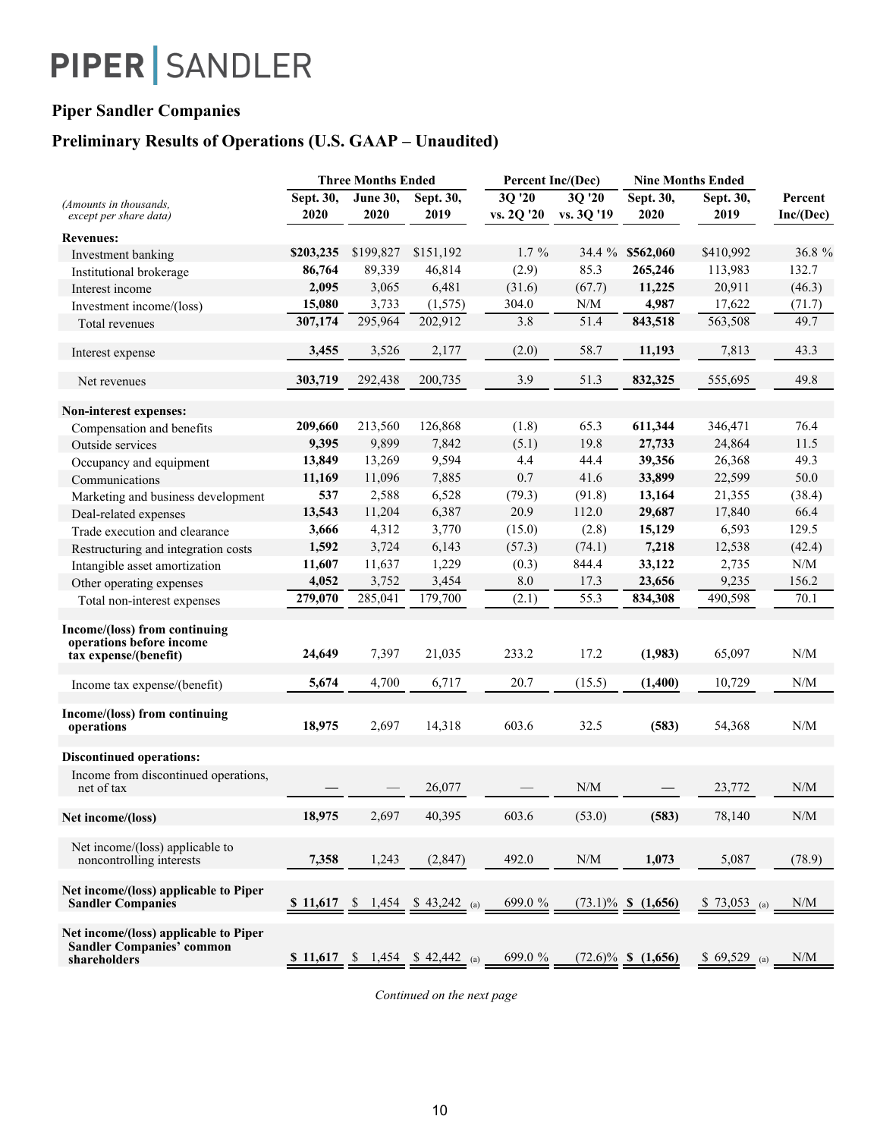### **Piper Sandler Companies**

## **Preliminary Results of Operations (U.S. GAAP – Unaudited)**

|                                                                                           |           | <b>Three Months Ended</b> |                                        | Percent Inc/(Dec)     |        | <b>Nine Months Ended</b> |               |                                               |
|-------------------------------------------------------------------------------------------|-----------|---------------------------|----------------------------------------|-----------------------|--------|--------------------------|---------------|-----------------------------------------------|
| (Amounts in thousands,                                                                    | Sept. 30, | June 30,                  | Sept. 30,                              | 3Q '20                | 3Q '20 | Sept. 30,                | Sept. 30,     | Percent                                       |
| except per share data)                                                                    | 2020      | 2020                      | 2019                                   | vs. 2Q '20 vs. 3Q '19 |        | 2020                     | 2019          | Inc/(Dec)                                     |
| <b>Revenues:</b>                                                                          |           |                           |                                        |                       |        |                          |               |                                               |
| Investment banking                                                                        | \$203,235 | \$199,827                 | \$151,192                              | $1.7\%$               |        | 34.4 % \$562,060         | \$410,992     | 36.8 %                                        |
| Institutional brokerage                                                                   | 86,764    | 89,339                    | 46,814                                 | (2.9)                 | 85.3   | 265,246                  | 113,983       | 132.7                                         |
| Interest income                                                                           | 2,095     | 3,065                     | 6,481                                  | (31.6)                | (67.7) | 11,225                   | 20,911        | (46.3)                                        |
| Investment income/(loss)                                                                  | 15,080    | 3,733                     | (1, 575)                               | 304.0                 | N/M    | 4,987                    | 17,622        | (71.7)                                        |
| Total revenues                                                                            | 307,174   | 295,964                   | 202,912                                | 3.8                   | 51.4   | 843,518                  | 563,508       | 49.7                                          |
|                                                                                           |           |                           |                                        |                       |        |                          |               |                                               |
| Interest expense                                                                          | 3,455     | 3,526                     | 2,177                                  | (2.0)                 | 58.7   | 11,193                   | 7,813         | 43.3                                          |
| Net revenues                                                                              | 303,719   | 292,438                   | 200,735                                | 3.9                   | 51.3   | 832,325                  | 555,695       | 49.8                                          |
| Non-interest expenses:                                                                    |           |                           |                                        |                       |        |                          |               |                                               |
| Compensation and benefits                                                                 | 209,660   | 213,560                   | 126,868                                | (1.8)                 | 65.3   | 611,344                  | 346,471       | 76.4                                          |
| Outside services                                                                          | 9,395     | 9,899                     | 7,842                                  | (5.1)                 | 19.8   | 27,733                   | 24,864        | 11.5                                          |
| Occupancy and equipment                                                                   | 13,849    | 13,269                    | 9,594                                  | 4.4                   | 44.4   | 39,356                   | 26,368        | 49.3                                          |
| Communications                                                                            | 11,169    | 11,096                    | 7,885                                  | 0.7                   | 41.6   | 33,899                   | 22,599        | 50.0                                          |
| Marketing and business development                                                        | 537       | 2,588                     | 6,528                                  | (79.3)                | (91.8) | 13,164                   | 21,355        | (38.4)                                        |
| Deal-related expenses                                                                     | 13,543    | 11,204                    | 6,387                                  | 20.9                  | 112.0  | 29,687                   | 17,840        | 66.4                                          |
| Trade execution and clearance                                                             | 3,666     | 4,312                     | 3,770                                  | (15.0)                | (2.8)  | 15,129                   | 6,593         | 129.5                                         |
| Restructuring and integration costs                                                       | 1,592     | 3,724                     | 6,143                                  | (57.3)                | (74.1) | 7,218                    | 12,538        | (42.4)                                        |
| Intangible asset amortization                                                             | 11,607    | 11,637                    | 1,229                                  | (0.3)                 | 844.4  | 33,122                   | 2,735         | $\ensuremath{\text{N}}/\ensuremath{\text{M}}$ |
| Other operating expenses                                                                  | 4,052     | 3,752                     | 3,454                                  | 8.0                   | 17.3   | 23,656                   | 9,235         | 156.2                                         |
| Total non-interest expenses                                                               | 279,070   | 285,041                   | 179,700                                | (2.1)                 | 55.3   | 834,308                  | 490,598       | 70.1                                          |
|                                                                                           |           |                           |                                        |                       |        |                          |               |                                               |
| Income/(loss) from continuing<br>operations before income<br>tax expense/(benefit)        | 24,649    | 7,397                     | 21,035                                 | 233.2                 | 17.2   | (1,983)                  | 65,097        | $\ensuremath{\text{N}}/\ensuremath{\text{M}}$ |
|                                                                                           |           |                           |                                        |                       |        |                          |               |                                               |
| Income tax expense/(benefit)                                                              | 5,674     | 4,700                     | 6,717                                  | 20.7                  | (15.5) | (1,400)                  | 10,729        | N/M                                           |
| Income/(loss) from continuing<br>operations                                               | 18,975    | 2,697                     | 14,318                                 | 603.6                 | 32.5   | (583)                    | 54,368        | N/M                                           |
| <b>Discontinued operations:</b>                                                           |           |                           |                                        |                       |        |                          |               |                                               |
| Income from discontinued operations,<br>net of tax                                        |           |                           | 26,077                                 |                       | N/M    |                          | 23,772        | N/M                                           |
|                                                                                           |           |                           |                                        |                       |        |                          |               |                                               |
| Net income/(loss)                                                                         | 18,975    | 2,697                     | 40,395                                 | 603.6                 | (53.0) | (583)                    | 78,140        | $\ensuremath{\text{N}}/\ensuremath{\text{M}}$ |
| Net income/(loss) applicable to<br>noncontrolling interests                               | 7,358     | 1,243                     | (2, 847)                               | 492.0                 | N/M    | 1,073                    | 5,087         | (78.9)                                        |
| Net income/(loss) applicable to Piper<br><b>Sandler Companies</b>                         | \$11,617  |                           | \$ 1,454 \$ 43,242 (a)                 | 699.0 %               |        | $(73.1)\%$ \$ $(1,656)$  | $$73,053$ (a) | N/M                                           |
| Net income/(loss) applicable to Piper<br><b>Sandler Companies' common</b><br>shareholders |           |                           | \$ 11,617 \, \$ 1,454 \, \$ 42,442 (a) | 699.0 %               |        | $(72.6)\%$ \$ $(1,656)$  | $$69,529$ (a) | N/M                                           |

*Continued on the next page*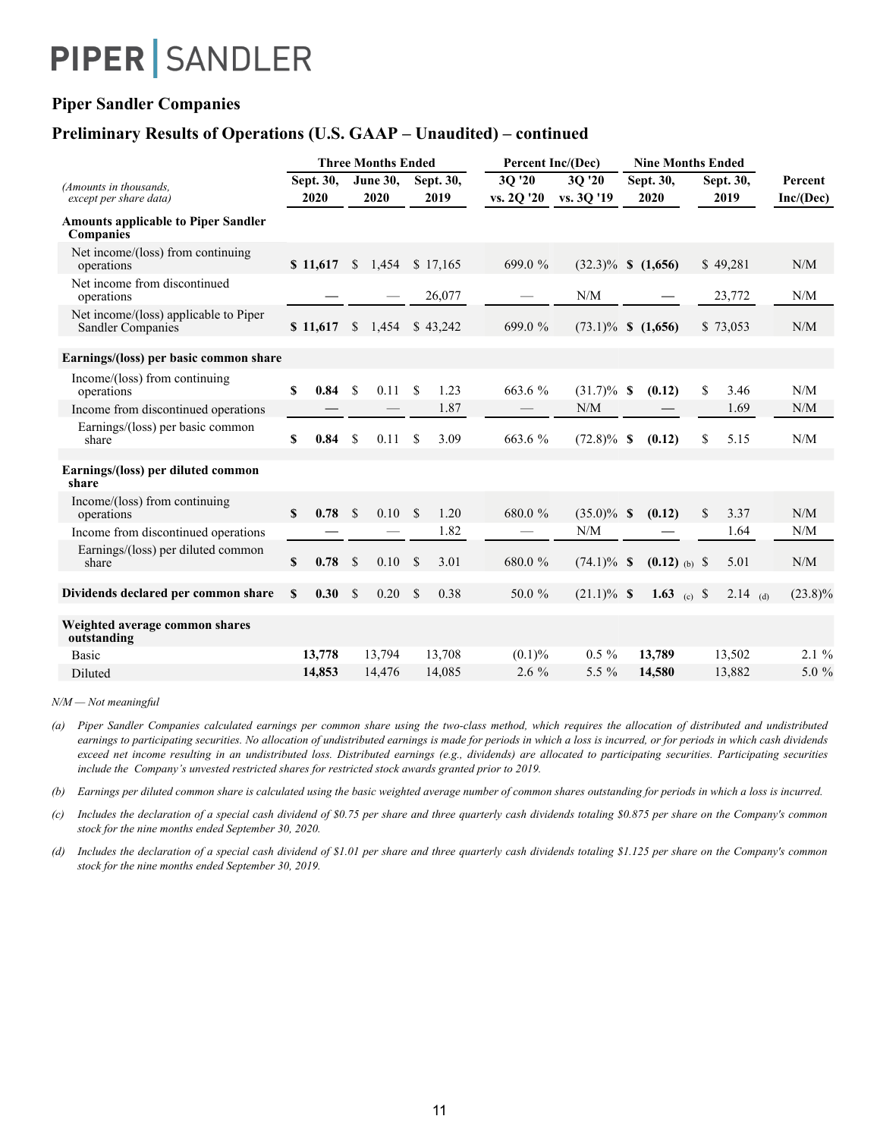### **Piper Sandler Companies**

### **Preliminary Results of Operations (U.S. GAAP – Unaudited) – continued**

|                                                                |              |                   |                    | <b>Three Months Ended</b> |               |                   |                      | <b>Percent Inc/(Dec)</b> |  | <b>Nine Months Ended</b> |                   |                      |
|----------------------------------------------------------------|--------------|-------------------|--------------------|---------------------------|---------------|-------------------|----------------------|--------------------------|--|--------------------------|-------------------|----------------------|
| (Amounts in thousands.<br>except per share data)               |              | Sept. 30,<br>2020 |                    | <b>June 30.</b><br>2020   |               | Sept. 30,<br>2019 | 3Q '20<br>vs. 2Q '20 | 3Q '20<br>vs. 3Q '19     |  | Sept. 30,<br>2020        | Sept. 30,<br>2019 | Percent<br>Inc/(Dec) |
| <b>Amounts applicable to Piper Sandler</b><br><b>Companies</b> |              |                   |                    |                           |               |                   |                      |                          |  |                          |                   |                      |
| Net income/(loss) from continuing<br>operations                |              | \$11,617          | $\mathbb{S}$       | 1,454                     |               | \$17.165          | 699.0 %              | $(32.3)\%$ \$ $(1,656)$  |  |                          | \$49.281          | N/M                  |
| Net income from discontinued<br>operations                     |              |                   |                    |                           |               | 26,077            |                      | N/M                      |  |                          | 23,772            | N/M                  |
| Net income/(loss) applicable to Piper<br>Sandler Companies     |              | \$11,617          | <sup>\$</sup>      | 1,454                     |               | \$43,242          | 699.0%               | $(73.1)\%$ \$ $(1,656)$  |  |                          | \$73,053          | N/M                  |
| Earnings/(loss) per basic common share                         |              |                   |                    |                           |               |                   |                      |                          |  |                          |                   |                      |
| Income/(loss) from continuing<br>operations                    | $\mathbf{s}$ | 0.84              | \$                 | 0.11                      | \$            | 1.23              | 663.6 %              | $(31.7)\%$ \$            |  | (0.12)                   | \$<br>3.46        | N/M                  |
| Income from discontinued operations                            |              |                   |                    |                           |               | 1.87              |                      | N/M                      |  |                          | 1.69              | N/M                  |
| Earnings/(loss) per basic common<br>share                      | S            | 0.84              | $\mathbf S$        | 0.11                      | \$            | 3.09              | 663.6 %              | $(72.8)\%$ \$            |  | (0.12)                   | \$<br>5.15        | N/M                  |
| Earnings/(loss) per diluted common<br>share                    |              |                   |                    |                           |               |                   |                      |                          |  |                          |                   |                      |
| Income/(loss) from continuing<br>operations                    | $\mathbf{s}$ | 0.78              | <sup>\$</sup>      | 0.10                      | <sup>\$</sup> | 1.20              | 680.0 %              | $(35.0)\%$ \$            |  | (0.12)                   | \$<br>3.37        | N/M                  |
| Income from discontinued operations                            |              |                   |                    |                           |               | 1.82              |                      | N/M                      |  |                          | 1.64              | N/M                  |
| Earnings/(loss) per diluted common<br>share                    | \$           | 0.78              | \$                 | 0.10                      | $\mathbf S$   | 3.01              | 680.0 %              | $(74.1)\%$ \$            |  | $(0.12)$ (b) \$          | 5.01              | N/M                  |
| Dividends declared per common share                            | $\mathbf{s}$ | 0.30              | $\mathbf{\hat{S}}$ | 0.20                      | $\mathbf{s}$  | 0.38              | 50.0 %               | $(21.1)\%$ \$            |  | 1.63 (c) $\sqrt{$}$      | 2.14 (d)          | $(23.8)\%$           |
| Weighted average common shares<br>outstanding                  |              |                   |                    |                           |               |                   |                      |                          |  |                          |                   |                      |
| <b>Basic</b>                                                   |              | 13,778            |                    | 13,794                    |               | 13,708            | $(0.1)\%$            | $0.5 \%$                 |  | 13,789                   | 13,502            | $2.1\%$              |
| Diluted                                                        |              | 14,853            |                    | 14,476                    |               | 14,085            | $2.6\%$              | 5.5 $\%$                 |  | 14,580                   | 13,882            | 5.0 $%$              |

*N/M — Not meaningful*

*(a)* Piper Sandler Companies calculated earnings per common share using the two-class method, which requires the allocation of distributed and undistributed earnings to participating securities. No allocation of undistributed earnings is made for periods in which a loss is incurred, or for periods in which cash dividends exceed net income resulting in an undistributed loss. Distributed earnings (e.g., dividends) are allocated to participating securities. Participating securities *include the Company's unvested restricted shares for restricted stock awards granted prior to 2019.*

*(b) Earnings per diluted common share is calculated using the basic weighted average number of common shares outstanding for periods in which a loss is incurred.*

*(c) Includes the declaration of a special cash dividend of \$0.75 per share and three quarterly cash dividends totaling \$0.875 per share on the Company's common stock for the nine months ended September 30, 2020.*

*(d) Includes the declaration of a special cash dividend of \$1.01 per share and three quarterly cash dividends totaling \$1.125 per share on the Company's common stock for the nine months ended September 30, 2019.*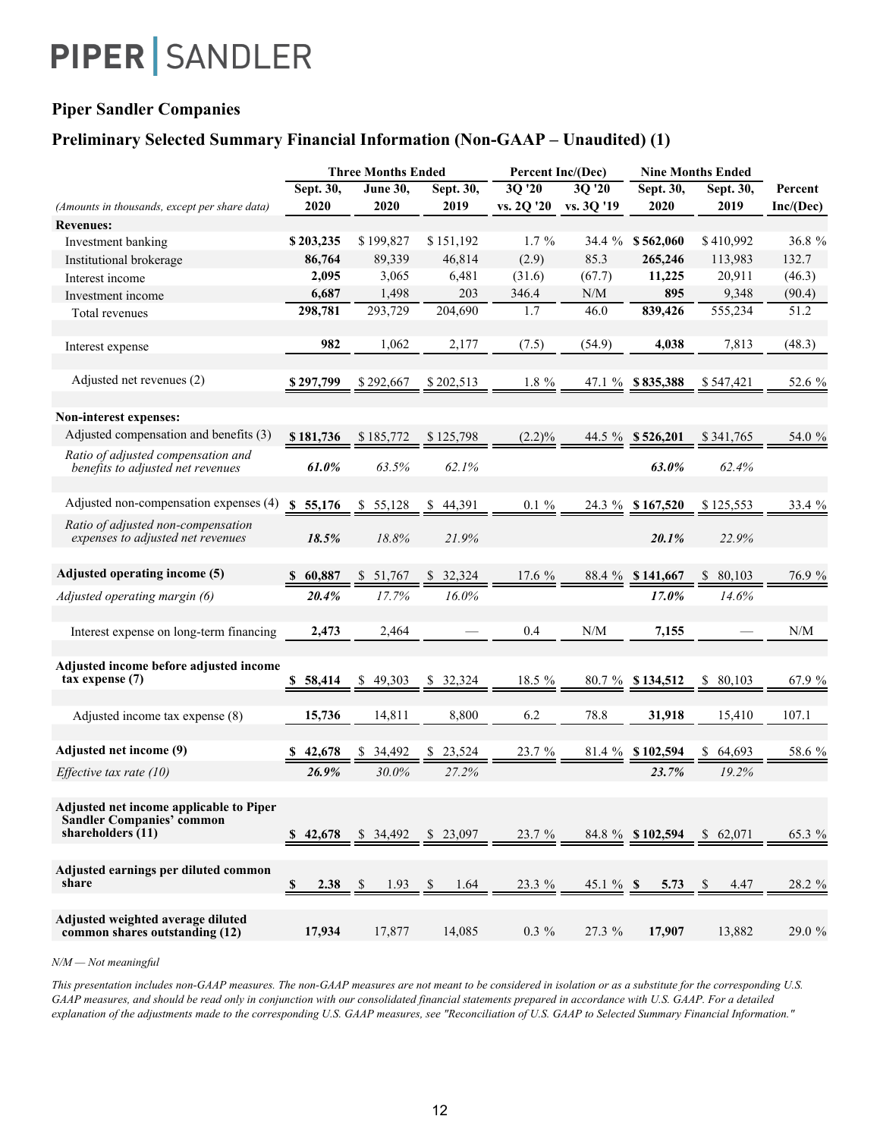### **Piper Sandler Companies**

### **Preliminary Selected Summary Financial Information (Non-GAAP – Unaudited) (1)**

|                                                                                                    |            | <b>Three Months Ended</b> |                      | Percent Inc/(Dec)     |              |                  | <b>Nine Months Ended</b> |           |
|----------------------------------------------------------------------------------------------------|------------|---------------------------|----------------------|-----------------------|--------------|------------------|--------------------------|-----------|
|                                                                                                    | Sept. 30,  | June 30,                  | Sept. 30,            | 30'20                 | 30'20        | Sept. 30,        | Sept. 30,                | Percent   |
| (Amounts in thousands, except per share data)                                                      | 2020       | 2020                      | 2019                 | vs. 2Q '20 vs. 3Q '19 |              | 2020             | 2019                     | Inc/(Dec) |
| <b>Revenues:</b>                                                                                   |            |                           |                      |                       |              |                  |                          |           |
| Investment banking                                                                                 | \$203,235  | \$199,827                 | \$151,192            | $1.7\%$               | 34.4 %       | \$562,060        | \$410,992                | 36.8 %    |
| Institutional brokerage                                                                            | 86,764     | 89,339                    | 46,814               | (2.9)                 | 85.3         | 265,246          | 113,983                  | 132.7     |
| Interest income                                                                                    | 2,095      | 3,065                     | 6,481                | (31.6)                | (67.7)       | 11,225           | 20,911                   | (46.3)    |
| Investment income                                                                                  | 6,687      | 1,498                     | 203                  | 346.4                 | N/M          | 895              | 9,348                    | (90.4)    |
| Total revenues                                                                                     | 298,781    | 293,729                   | 204,690              | 1.7                   | 46.0         | 839,426          | 555,234                  | 51.2      |
| Interest expense                                                                                   | 982        | 1,062                     | 2,177                | (7.5)                 | (54.9)       | 4,038            | 7,813                    | (48.3)    |
| Adjusted net revenues (2)                                                                          | \$297,799  | \$292,667                 | \$202,513            | 1.8 %                 |              | 47.1 % \$835,388 | \$547,421                | 52.6 %    |
|                                                                                                    |            |                           |                      |                       |              |                  |                          |           |
| Non-interest expenses:                                                                             |            |                           |                      |                       |              |                  |                          |           |
| Adjusted compensation and benefits (3)                                                             | \$181,736  | \$185,772                 | \$125,798            | $(2.2)\%$             |              | 44.5 % \$526,201 | \$341,765                | 54.0 %    |
| Ratio of adjusted compensation and<br>benefits to adjusted net revenues                            | 61.0%      | 63.5%                     | 62.1%                |                       |              | 63.0%            | 62.4%                    |           |
| Adjusted non-compensation expenses (4)                                                             | \$55,176   | \$<br>55,128              | 44,391<br>\$         | $0.1 \%$              |              | 24.3 % \$167,520 | \$125,553                | 33.4 %    |
| Ratio of adjusted non-compensation<br>expenses to adjusted net revenues                            | 18.5%      | 18.8%                     | 21.9%                |                       |              | 20.1%            | 22.9%                    |           |
| Adjusted operating income (5)                                                                      | \$ 60,887  | 51,767<br>S.              | 32,324<br>\$         | 17.6 %                |              | 88.4 % \$141,667 | 80,103                   | 76.9 %    |
| Adjusted operating margin (6)                                                                      | 20.4%      | 17.7%                     | 16.0%                |                       |              | 17.0%            | 14.6%                    |           |
| Interest expense on long-term financing                                                            | 2,473      | 2,464                     |                      | 0.4                   | N/M          | 7,155            |                          | N/M       |
| Adjusted income before adjusted income<br>$tax$ expense $(7)$                                      | \$58,414   | \$49,303                  | 32,324<br>\$         | 18.5 %                |              | 80.7 % \$134,512 | 80,103<br>S.             | 67.9 %    |
| Adjusted income tax expense (8)                                                                    | 15,736     | 14,811                    | 8,800                | 6.2                   | 78.8         | 31,918           | 15,410                   | 107.1     |
| Adjusted net income (9)                                                                            | 42,678     | 34,492                    | 23,524               | 23.7 %                |              | 81.4 % \$102,594 | 64,693                   | 58.6 %    |
| Effective tax rate $(10)$                                                                          | 26.9%      | 30.0%                     | 27.2%                |                       |              | 23.7%            | 19.2%                    |           |
| Adjusted net income applicable to Piper<br><b>Sandler Companies' common</b><br>shareholders $(11)$ | \$42,678   | \$ 34,492 \$ 23,097       |                      | 23.7%                 |              | 84.8 % \$102,594 | \$62,071                 | 65.3 %    |
| Adjusted earnings per diluted common<br>share                                                      | \$<br>2.38 | 1.93<br><sup>\$</sup>     | 1.64<br>$\mathbf{s}$ | 23.3 %                | $45.1 \%$ \$ | 5.73             | -S<br>4.47               | 28.2 %    |
| Adjusted weighted average diluted<br>common shares outstanding (12)                                | 17,934     | 17,877                    | 14,085               | $0.3 \%$              | 27.3 %       | 17,907           | 13,882                   | 29.0 %    |

*N/M — Not meaningful*

*This presentation includes non-GAAP measures. The non-GAAP measures are not meant to be considered in isolation or as a substitute for the corresponding U.S. GAAP measures, and should be read only in conjunction with our consolidated financial statements prepared in accordance with U.S. GAAP. For a detailed explanation of the adjustments made to the corresponding U.S. GAAP measures, see "Reconciliation of U.S. GAAP to Selected Summary Financial Information."*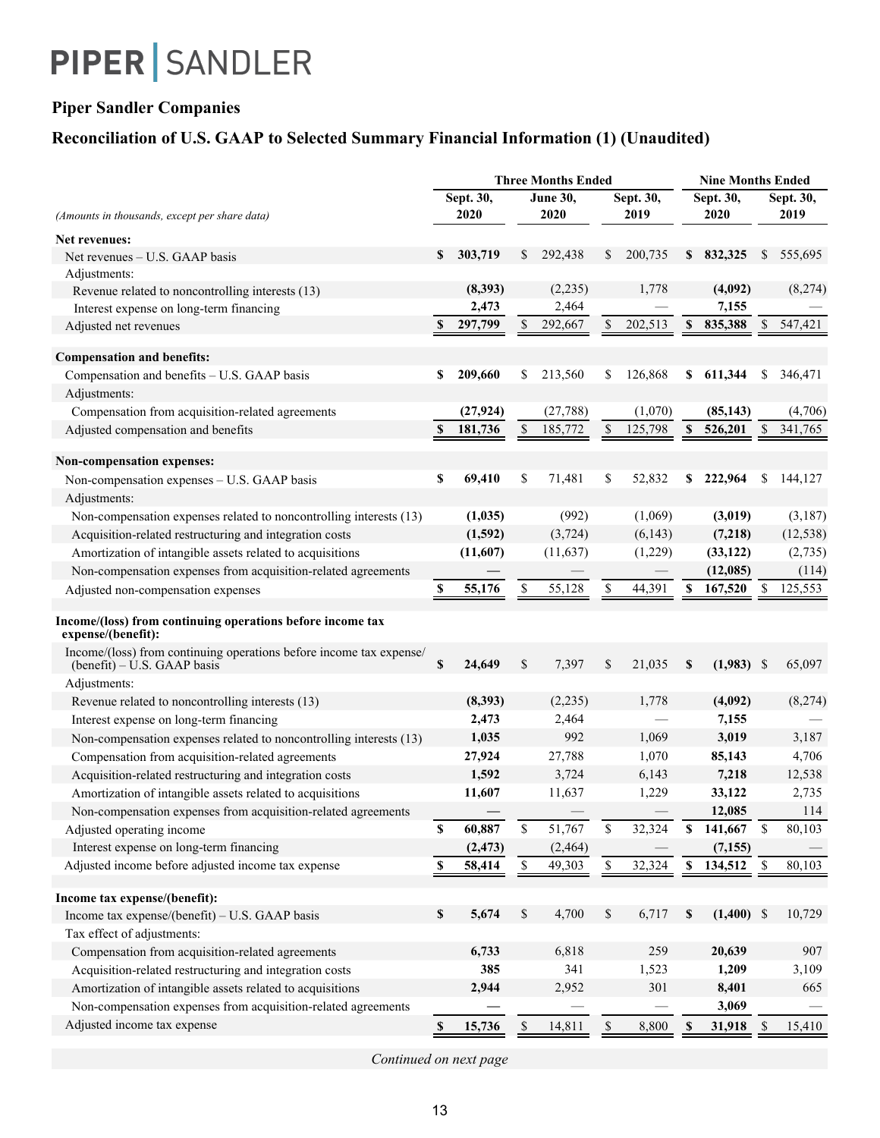## **Piper Sandler Companies**

## **Reconciliation of U.S. GAAP to Selected Summary Financial Information (1) (Unaudited)**

|                                                                                                    |               |           |             | <b>Three Months Ended</b> |    |           |             | <b>Nine Months Ended</b> |              |           |
|----------------------------------------------------------------------------------------------------|---------------|-----------|-------------|---------------------------|----|-----------|-------------|--------------------------|--------------|-----------|
|                                                                                                    |               | Sept. 30, |             | <b>June 30,</b>           |    | Sept. 30, |             | Sept. 30,                |              | Sept. 30, |
| (Amounts in thousands, except per share data)                                                      |               | 2020      |             | 2020                      |    | 2019      |             | 2020                     |              | 2019      |
| Net revenues:                                                                                      |               |           |             |                           |    |           |             |                          |              |           |
| Net revenues – U.S. GAAP basis                                                                     | \$            | 303,719   | \$          | 292,438                   | \$ | 200,735   | \$          | 832,325                  | \$           | 555,695   |
| Adjustments:                                                                                       |               |           |             |                           |    |           |             |                          |              |           |
| Revenue related to noncontrolling interests (13)                                                   |               | (8, 393)  |             | (2,235)                   |    | 1,778     |             | (4,092)                  |              | (8,274)   |
| Interest expense on long-term financing                                                            |               | 2,473     |             | 2,464                     |    |           |             | 7,155                    |              |           |
| Adjusted net revenues                                                                              | S             | 297,799   | \$          | 292,667                   | \$ | 202,513   | \$          | 835,388                  | \$           | 547,421   |
| <b>Compensation and benefits:</b>                                                                  |               |           |             |                           |    |           |             |                          |              |           |
| Compensation and benefits - U.S. GAAP basis                                                        | \$            | 209,660   | \$          | 213,560                   | \$ | 126,868   | \$          | 611,344                  | \$           | 346,471   |
| Adjustments:                                                                                       |               |           |             |                           |    |           |             |                          |              |           |
| Compensation from acquisition-related agreements                                                   |               | (27, 924) |             | (27, 788)                 |    | (1,070)   |             | (85, 143)                |              | (4,706)   |
| Adjusted compensation and benefits                                                                 | $\mathbf{s}$  | 181,736   | \$          | 185,772                   | \$ | 125,798   | $\mathbf S$ | 526,201                  | $\mathbb{S}$ | 341,765   |
| <b>Non-compensation expenses:</b>                                                                  |               |           |             |                           |    |           |             |                          |              |           |
|                                                                                                    | \$            | 69,410    | \$          | 71,481                    | \$ | 52,832    | \$          | 222,964                  | S            | 144,127   |
| Non-compensation expenses - U.S. GAAP basis<br>Adjustments:                                        |               |           |             |                           |    |           |             |                          |              |           |
| Non-compensation expenses related to noncontrolling interests (13)                                 |               | (1,035)   |             | (992)                     |    | (1,069)   |             | (3,019)                  |              | (3,187)   |
| Acquisition-related restructuring and integration costs                                            |               | (1,592)   |             | (3, 724)                  |    | (6, 143)  |             | (7,218)                  |              | (12, 538) |
| Amortization of intangible assets related to acquisitions                                          |               | (11,607)  |             | (11,637)                  |    | (1,229)   |             | (33, 122)                |              | (2,735)   |
| Non-compensation expenses from acquisition-related agreements                                      |               |           |             |                           |    |           |             | (12,085)                 |              | (114)     |
| Adjusted non-compensation expenses                                                                 | \$            | 55,176    | \$          | 55,128                    | \$ | 44,391    | S           | 167,520                  | \$           | 125,553   |
| Income/(loss) from continuing operations before income tax<br>expense/(benefit):                   |               |           |             |                           |    |           |             |                          |              |           |
| Income/(loss) from continuing operations before income tax expense/<br>(benefit) – U.S. GAAP basis | \$            | 24,649    | \$          | 7,397                     | \$ | 21,035    | \$          | $(1,983)$ \$             |              | 65,097    |
| Adjustments:                                                                                       |               |           |             |                           |    |           |             |                          |              |           |
| Revenue related to noncontrolling interests (13)                                                   |               | (8,393)   |             | (2,235)                   |    | 1,778     |             | (4,092)                  |              | (8,274)   |
| Interest expense on long-term financing                                                            |               | 2,473     |             | 2,464                     |    |           |             | 7,155                    |              |           |
| Non-compensation expenses related to noncontrolling interests (13)                                 |               | 1,035     |             | 992                       |    | 1,069     |             | 3,019                    |              | 3,187     |
| Compensation from acquisition-related agreements                                                   |               | 27,924    |             | 27,788                    |    | 1,070     |             | 85,143                   |              | 4,706     |
| Acquisition-related restructuring and integration costs                                            |               | 1,592     |             | 3,724                     |    | 6,143     |             | 7,218                    |              | 12,538    |
| Amortization of intangible assets related to acquisitions                                          |               | 11,607    |             | 11,637                    |    | 1,229     |             | 33,122                   |              | 2,735     |
| Non-compensation expenses from acquisition-related agreements                                      |               |           |             |                           |    |           |             | 12,085                   |              | 114       |
| Adjusted operating income                                                                          | \$            | 60,887    | $\mathbb S$ | 51,767                    | \$ | 32,324    | \$          | 141,667                  | $\mathbb S$  | 80,103    |
| Interest expense on long-term financing                                                            |               | (2, 473)  |             | (2, 464)                  |    |           |             | (7, 155)                 |              |           |
| Adjusted income before adjusted income tax expense                                                 | \$            | 58,414    | \$          | 49,303                    | \$ | 32,324    | $\mathbb S$ | 134,512                  | $\mathbb{S}$ | 80,103    |
| Income tax expense/(benefit):                                                                      |               |           |             |                           |    |           |             |                          |              |           |
| Income tax expense/(benefit) - U.S. GAAP basis                                                     | $\mathbb S$   | 5,674     | \$          | 4,700                     | \$ | 6,717     | \$          | $(1,400)$ \$             |              | 10,729    |
| Tax effect of adjustments:                                                                         |               |           |             |                           |    |           |             |                          |              |           |
| Compensation from acquisition-related agreements                                                   |               | 6,733     |             | 6,818                     |    | 259       |             | 20,639                   |              | 907       |
| Acquisition-related restructuring and integration costs                                            |               | 385       |             | 341                       |    | 1,523     |             | 1,209                    |              | 3,109     |
| Amortization of intangible assets related to acquisitions                                          |               | 2,944     |             | 2,952                     |    | 301       |             | 8,401                    |              | 665       |
| Non-compensation expenses from acquisition-related agreements                                      |               |           |             |                           |    |           |             | 3,069                    |              |           |
| Adjusted income tax expense                                                                        | $\mathbf{\$}$ | 15,736    | \$          | 14,811                    | \$ | 8,800     | \$          | 31,918                   | \$           | 15,410    |

*Continued on next page*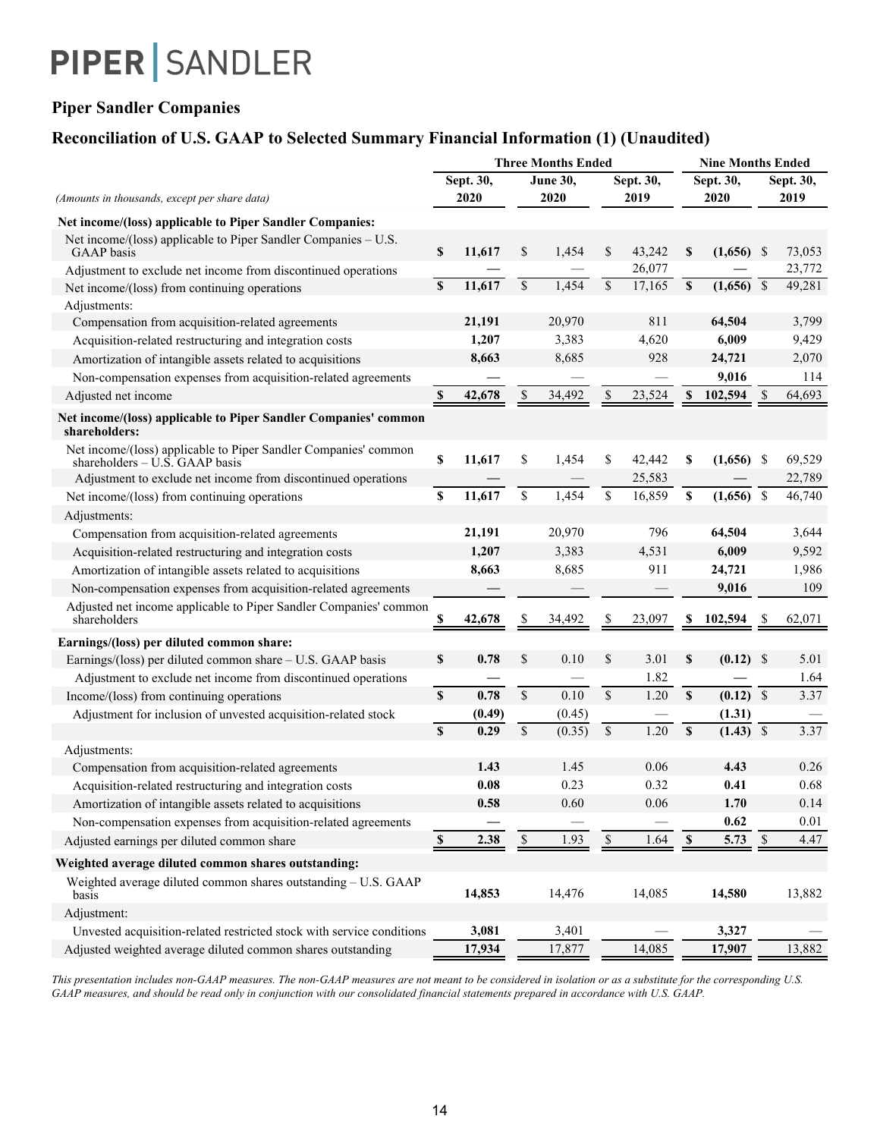## **Piper Sandler Companies**

## **Reconciliation of U.S. GAAP to Selected Summary Financial Information (1) (Unaudited)**

|                                                                                                     |              |           |             | <b>Three Months Ended</b> | <b>Nine Months Ended</b> |           |              |              |                          |        |
|-----------------------------------------------------------------------------------------------------|--------------|-----------|-------------|---------------------------|--------------------------|-----------|--------------|--------------|--------------------------|--------|
|                                                                                                     |              | Sept. 30, |             | June 30,                  |                          | Sept. 30, |              | Sept. 30,    | Sept. 30,                |        |
| (Amounts in thousands, except per share data)                                                       |              | 2020      |             | 2020                      |                          | 2019      |              | 2020         |                          | 2019   |
| Net income/(loss) applicable to Piper Sandler Companies:                                            |              |           |             |                           |                          |           |              |              |                          |        |
| Net income/(loss) applicable to Piper Sandler Companies – U.S.<br><b>GAAP</b> basis                 | \$           | 11,617    | \$          | 1,454                     | \$                       | 43,242    | \$           | $(1,656)$ \$ |                          | 73,053 |
| Adjustment to exclude net income from discontinued operations                                       |              |           |             |                           |                          | 26,077    |              |              |                          | 23,772 |
| Net income/(loss) from continuing operations                                                        | $\mathbf{s}$ | 11,617    | \$          | 1,454                     | $\mathbf S$              | 17,165    | S            | (1,656)      | $\overline{\mathcal{S}}$ | 49,281 |
| Adjustments:                                                                                        |              |           |             |                           |                          |           |              |              |                          |        |
| Compensation from acquisition-related agreements                                                    |              | 21,191    |             | 20,970                    |                          | 811       |              | 64,504       |                          | 3,799  |
| Acquisition-related restructuring and integration costs                                             |              | 1,207     |             | 3,383                     |                          | 4,620     |              | 6,009        |                          | 9,429  |
| Amortization of intangible assets related to acquisitions                                           |              | 8,663     |             | 8,685                     |                          | 928       |              | 24,721       |                          | 2,070  |
| Non-compensation expenses from acquisition-related agreements                                       |              |           |             |                           |                          |           |              | 9,016        |                          | 114    |
| Adjusted net income                                                                                 | S            | 42,678    | S           | 34,492                    | \$                       | 23,524    | \$           | 102,594      | -\$                      | 64,693 |
| Net income/(loss) applicable to Piper Sandler Companies' common<br>shareholders:                    |              |           |             |                           |                          |           |              |              |                          |        |
| Net income/(loss) applicable to Piper Sandler Companies' common<br>shareholders $-$ U.S. GAAP basis | \$           | 11,617    | \$          | 1,454                     | \$                       | 42,442    | \$           | (1,656)      | - \$                     | 69,529 |
| Adjustment to exclude net income from discontinued operations                                       |              |           |             |                           |                          | 25,583    |              |              |                          | 22,789 |
| Net income/(loss) from continuing operations                                                        | $\mathbb S$  | 11,617    | \$          | 1,454                     | \$                       | 16,859    | \$           | (1,656)      | - \$                     | 46,740 |
| Adjustments:                                                                                        |              |           |             |                           |                          |           |              |              |                          |        |
| Compensation from acquisition-related agreements                                                    |              | 21,191    |             | 20,970                    |                          | 796       |              | 64,504       |                          | 3,644  |
| Acquisition-related restructuring and integration costs                                             |              | 1,207     |             | 3,383                     |                          | 4,531     |              | 6,009        |                          | 9,592  |
| Amortization of intangible assets related to acquisitions                                           |              | 8,663     |             | 8,685                     |                          | 911       |              | 24,721       |                          | 1,986  |
| Non-compensation expenses from acquisition-related agreements                                       |              |           |             |                           |                          |           |              | 9,016        |                          | 109    |
| Adjusted net income applicable to Piper Sandler Companies' common<br>shareholders                   |              | 42,678    |             | 34,492                    |                          | 23,097    |              | 102,594      |                          | 62,071 |
| Earnings/(loss) per diluted common share:                                                           |              |           |             |                           |                          |           |              |              |                          |        |
| Earnings/(loss) per diluted common share - U.S. GAAP basis                                          | $\mathbf S$  | 0.78      | \$          | 0.10                      | \$                       | 3.01      | \$.          | $(0.12)$ \$  |                          | 5.01   |
| Adjustment to exclude net income from discontinued operations                                       |              |           |             |                           |                          | 1.82      |              |              |                          | 1.64   |
| Income/(loss) from continuing operations                                                            | S            | 0.78      | $\mathbf S$ | 0.10                      | $\mathcal{S}$            | 1.20      | $\mathbf S$  | $(0.12)$ \$  |                          | 3.37   |
| Adjustment for inclusion of unvested acquisition-related stock                                      |              | (0.49)    |             | (0.45)                    |                          |           |              | (1.31)       |                          |        |
|                                                                                                     | <b>S</b>     | 0.29      | $\mathbf S$ | (0.35)                    | $\overline{\mathcal{S}}$ | 1.20      | $\mathbf{s}$ | $(1.43)$ \$  |                          | 3.37   |
| Adjustments:                                                                                        |              |           |             |                           |                          |           |              |              |                          |        |
| Compensation from acquisition-related agreements                                                    |              | 1.43      |             | 1.45                      |                          | 0.06      |              | 4.43         |                          | 0.26   |
| Acquisition-related restructuring and integration costs                                             |              | 0.08      |             | 0.23                      |                          | 0.32      |              | 0.41         |                          | 0.68   |
| Amortization of intangible assets related to acquisitions                                           |              | 0.58      |             | 0.60                      |                          | 0.06      |              | 1.70         |                          | 0.14   |
| Non-compensation expenses from acquisition-related agreements                                       |              |           |             |                           |                          |           |              | 0.62         |                          | 0.01   |
| Adjusted earnings per diluted common share                                                          | \$           | 2.38      | $\mathbb S$ | 1.93                      | $\mathbb{S}$             | 1.64      | $\mathbf{s}$ | 5.73         | $\mathcal{S}$            | 4.47   |
| Weighted average diluted common shares outstanding:                                                 |              |           |             |                           |                          |           |              |              |                          |        |
| Weighted average diluted common shares outstanding - U.S. GAAP<br>basis                             |              | 14,853    |             | 14,476                    |                          | 14,085    |              | 14,580       |                          | 13,882 |
| Adjustment:                                                                                         |              |           |             |                           |                          |           |              |              |                          |        |
| Unvested acquisition-related restricted stock with service conditions                               |              | 3,081     |             | 3,401                     |                          |           |              | 3,327        |                          |        |
| Adjusted weighted average diluted common shares outstanding                                         |              | 17,934    |             | 17,877                    |                          | 14,085    |              | 17,907       |                          | 13,882 |

*This presentation includes non-GAAP measures. The non-GAAP measures are not meant to be considered in isolation or as a substitute for the corresponding U.S. GAAP measures, and should be read only in conjunction with our consolidated financial statements prepared in accordance with U.S. GAAP.*